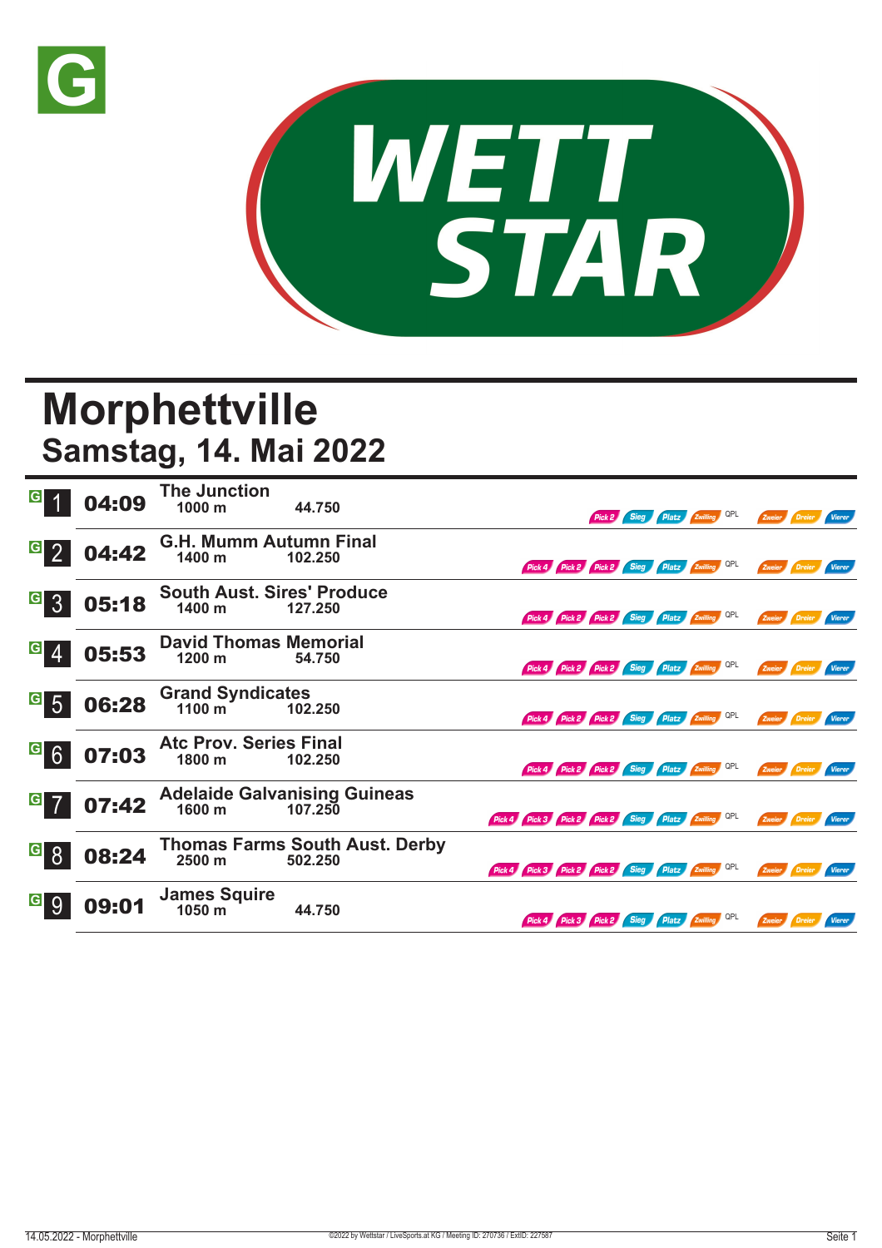



## **Morphettville Samstag, 14. Mai 2022**

| $\overline{G}$                     | 04:09 | <b>The Junction</b><br>$1000 \text{ m}$     | 44.750                                           |                                                     | Pick 2                                       | Sieg | Platz Zwilling QPL | Zweier Dreier        |        | Vierer        |
|------------------------------------|-------|---------------------------------------------|--------------------------------------------------|-----------------------------------------------------|----------------------------------------------|------|--------------------|----------------------|--------|---------------|
| $\overline{G}$ 2                   | 04:42 | <b>G.H. Mumm Autumn Final</b><br>1400 m     | 102.250                                          |                                                     | Pick 4 Pick 2 Pick 2 Sieg Platz Zwilling QPL |      |                    | Zweier Dreier        |        | Vierer        |
| $G\overline{3}$                    | 05:18 | <b>South Aust. Sires' Produce</b><br>1400 m | 127.250                                          |                                                     | Pick 4 Pick 2 Pick 2 Sieg Platz Zwilling QPL |      |                    | Zweier Dreier        |        | <b>Vierer</b> |
| $\vert G \vert$<br>$\overline{4}$  | 05:53 | <b>David Thomas Memorial</b><br>1200 m      | 54.750                                           |                                                     | Pick 4 Pick 2 Pick 2 Sieg Platz Zwilling QPL |      |                    | Zweier Dreier        |        | Vierer        |
| $\vert G \vert$<br>$5\overline{5}$ | 06:28 | <b>Grand Syndicates</b><br>1100 m           | 102.250                                          |                                                     | Pick 4 Pick 2 Pick 2 Sieg Platz Zwilling QPL |      |                    | Zweier Dreier        |        | Vierer        |
| G6                                 | 07:03 | <b>Atc Prov. Series Final</b><br>1800 m     | 102.250                                          |                                                     | Pick 4 Pick 2 Pick 2 Sieg Platz Zwilling QPL |      |                    | Zweier               | Dreier | <b>Vierer</b> |
| $G$ 7                              | 07:42 | 1600 m                                      | <b>Adelaide Galvanising Guineas</b><br>107.250   | Pick 4 Pick 3 Pick 2 Pick 2 Sieg Platz Zwilling QPL |                                              |      |                    | Zweier               | Dreier | Vierer        |
| G <br>8                            | 08:24 | 2500 m                                      | <b>Thomas Farms South Aust. Derby</b><br>502.250 | Pick 4 Pick 3 Pick 2 Pick 2 Sieg Platz Zwilling QPL |                                              |      |                    | Zweier Dreier Vierer |        |               |
| $\vert G \vert$<br>9               | 09:01 | <b>James Squire</b><br>1050 m               | 44.750                                           |                                                     | Pick 4 Pick 3 Pick 2 Sieg Platz Zwilling QPL |      |                    | Zweier Dreier        |        | Vierer        |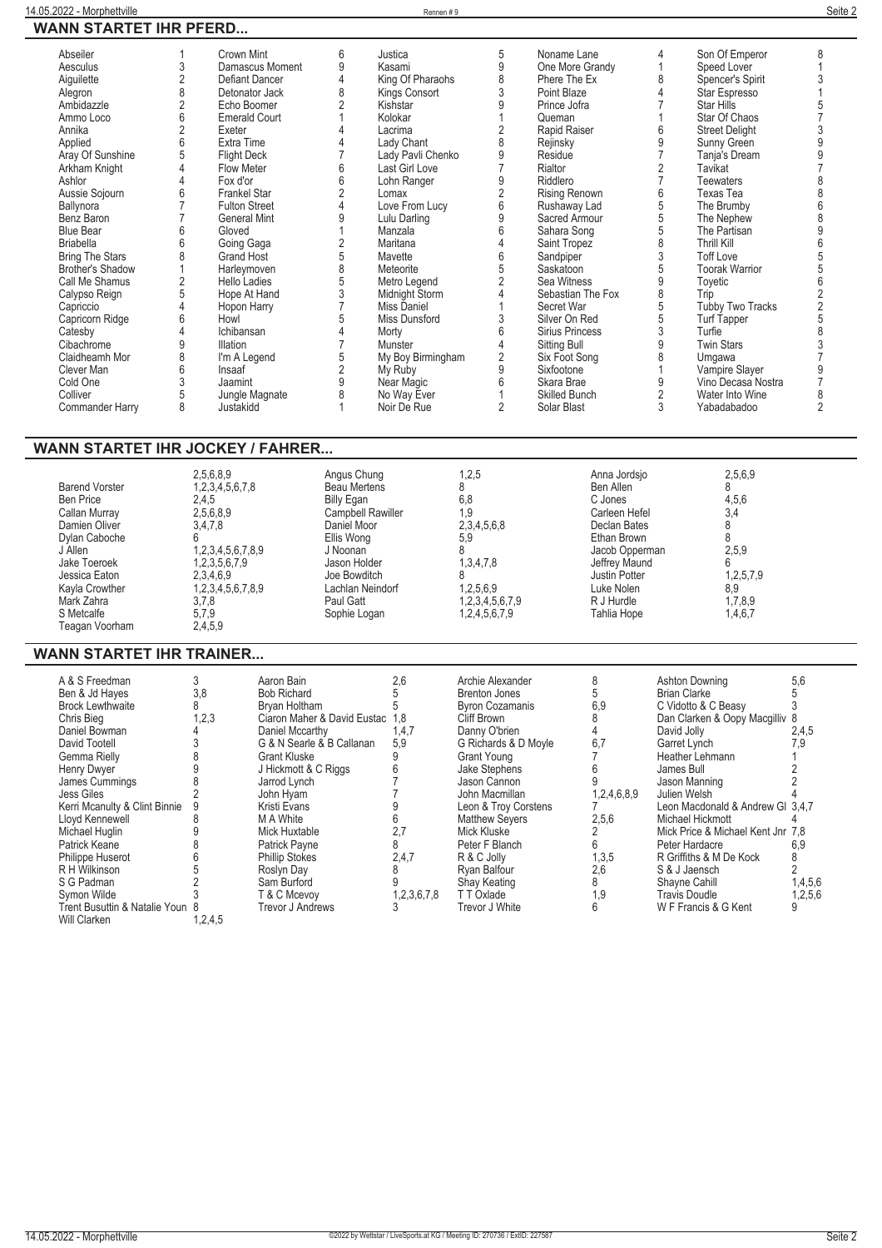| 14.05.2022 - Morphettville              |                               |                                       | Rennen #9          |                        |                      |                |                                   | Seite 2                                    |
|-----------------------------------------|-------------------------------|---------------------------------------|--------------------|------------------------|----------------------|----------------|-----------------------------------|--------------------------------------------|
| <b>WANN STARTET IHR PFERD</b>           |                               |                                       |                    |                        |                      |                |                                   |                                            |
|                                         |                               |                                       |                    |                        |                      |                |                                   |                                            |
| Abseiler                                | Crown Mint                    | 6                                     | Justica            | 5                      | Noname Lane          | 4              | Son Of Emperor                    | 8                                          |
| 3<br>Aesculus                           | Damascus Moment               | 9                                     | Kasami             | 9                      | One More Grandy      | 1              | Speed Lover                       | $\mathbf{1}$                               |
|                                         | Defiant Dancer                | $\overline{4}$                        | King Of Pharaohs   |                        | Phere The Ex         | 8              |                                   |                                            |
| $\overline{\mathbf{c}}$<br>Aiguilette   |                               |                                       |                    | 8                      |                      |                | Spencer's Spirit                  | 3                                          |
| 8<br>Alegron                            | Detonator Jack                | 8                                     | Kings Consort      | $\sqrt{3}$             | Point Blaze          | 4              | Star Espresso                     | $\mathbf{1}$                               |
| $\frac{2}{6}$<br>Ambidazzle             | Echo Boomer                   | $\overline{2}$                        | Kishstar           | 9                      | Prince Jofra         | $\overline{7}$ | Star Hills                        | $\frac{5}{7}$                              |
| Ammo Loco                               | <b>Emerald Court</b>          | 1                                     | Kolokar            | 1                      | Queman               |                | Star Of Chaos                     |                                            |
| $\overline{2}$<br>Annika                | Exeter                        | $\overline{4}$                        | Lacrima            | $\sqrt{2}$             | Rapid Raiser         | 6              | <b>Street Delight</b>             | 3                                          |
| 6<br>Applied                            | Extra Time                    | $\overline{4}$                        | Lady Chant         | 8                      | Rejinsky             | 9              | Sunny Green                       |                                            |
| 5<br>Aray Of Sunshine                   | <b>Flight Deck</b>            | $\overline{7}$                        | Lady Pavli Chenko  | 9                      | Residue              | 7              | Tanja's Dream                     | $\begin{array}{c} 9 \\ 9 \\ 7 \end{array}$ |
| Arkham Knight<br>4                      | <b>Flow Meter</b>             | $6\phantom{a}$                        | Last Girl Love     | $\overline{7}$         | Rialtor              | $\overline{2}$ | Tavikat                           |                                            |
| $\overline{4}$<br>Ashlor                | Fox d'or                      | $6\phantom{a}$                        | Lohn Ranger        | 9                      | Riddlero             | $\overline{7}$ | Teewaters                         | 8                                          |
|                                         |                               | $\overline{2}$                        |                    |                        |                      | 6              | Texas Tea                         | $\overline{8}$                             |
| 6<br>Aussie Sojourn                     | <b>Frankel Star</b>           |                                       | Lomax              | $\overline{c}$         | <b>Rising Renown</b> |                |                                   |                                            |
| $\overline{7}$<br>Ballynora             | <b>Fulton Street</b>          | $\overline{4}$                        | Love From Lucy     | 6                      | Rushaway Lad         | 5              | The Brumby                        | $\overline{6}$                             |
| $\overline{7}$<br>Benz Baron            | General Mint                  | $\overline{9}$                        | Lulu Darling       | 9                      | Sacred Armour        | 5              | The Nephew                        | $\frac{8}{9}$                              |
| 6<br><b>Blue Bear</b>                   | Gloved                        | 1                                     | Manzala            | $\overline{6}$         | Sahara Song          | 5              | The Partisan                      |                                            |
| 6<br><b>Briabella</b>                   | Going Gaga                    | $\sqrt{2}$                            | Maritana           | 4                      | Saint Tropez         | 8              | <b>Thrill Kill</b>                | $6\phantom{a}$                             |
| 8<br><b>Bring The Stars</b>             | Grand Host                    | $\begin{array}{c} 5 \\ 8 \end{array}$ | Mavette            | 6                      | Sandpiper            | 3              | <b>Toff Love</b>                  |                                            |
| Brother's Shadow<br>1                   | Harleymoven                   |                                       | Meteorite          | $\overline{5}$         | Saskatoon            | 5              | <b>Toorak Warrior</b>             | $\frac{5}{5}$                              |
| $\overline{2}$<br>Call Me Shamus        | Hello Ladies                  | 5                                     | Metro Legend       | $\overline{2}$         | Sea Witness          | 9              | Toyetic                           | $6\phantom{a}$                             |
|                                         |                               |                                       |                    |                        |                      |                |                                   |                                            |
| 5<br>Calypso Reign                      | Hope At Hand                  | $\sqrt{3}$                            | Midnight Storm     | $\overline{4}$         | Sebastian The Fox    | 8              | Trip                              | $\overline{c}$                             |
| $\overline{4}$<br>Capriccio             | Hopon Harry                   | $\overline{7}$                        | <b>Miss Daniel</b> | 1                      | Secret War           | 5              | <b>Tubby Two Tracks</b>           |                                            |
| 6<br>Capricorn Ridge                    | Howl                          | 5                                     | Miss Dunsford      | $\sqrt{3}$             | Silver On Red        | 5              | Turf Tapper                       | $\begin{array}{c} 2 \\ 5 \\ 8 \end{array}$ |
| Catesby<br>4                            | Ichibansan                    | $\overline{4}$                        | Morty              | 6                      | Sirius Princess      | 3              | Turfie                            |                                            |
| 9<br>Cibachrome                         | <b>Illation</b>               | $\overline{7}$                        | Munster            | 4                      | <b>Sitting Bull</b>  | 9              | <b>Twin Stars</b>                 | 3                                          |
| 8<br>Claidheamh Mor                     | I'm A Legend                  | 5                                     | My Boy Birmingham  | $\sqrt{2}$             | Six Foot Song        | 8              | Umgawa                            | $\overline{7}$                             |
| 6<br>Clever Man                         | Insaaf                        | $\overline{2}$                        | My Ruby            | 9                      | Sixfootone           | 1              | Vampire Slayer                    | 9                                          |
| 3                                       |                               | $\boldsymbol{9}$                      |                    | 6                      |                      | 9              | Vino Decasa Nostra                | $\overline{7}$                             |
| Cold One                                | Jaamint                       |                                       | Near Magic         |                        | Skara Brae           |                |                                   |                                            |
| 5<br>Colliver                           | Jungle Magnate                | 8                                     | No Way Ever        | $\mathbf{1}$           | Skilled Bunch        | $\overline{2}$ | Water Into Wine                   | 8                                          |
| 8<br>Commander Harry                    | Justakidd                     | $\mathbf{1}$                          | Noir De Rue        | $\overline{2}$         | Solar Blast          | 3              | Yabadabadoo                       | $\overline{2}$                             |
|                                         |                               |                                       |                    |                        |                      |                |                                   |                                            |
|                                         |                               |                                       |                    |                        |                      |                |                                   |                                            |
| <b>WANN STARTET IHR JOCKEY / FAHRER</b> |                               |                                       |                    |                        |                      |                |                                   |                                            |
|                                         |                               |                                       |                    |                        |                      |                |                                   |                                            |
|                                         |                               |                                       |                    |                        |                      |                |                                   |                                            |
|                                         | 2,5,6,8,9                     | Angus Chung                           |                    | 1,2,5                  | Anna Jordsjo         |                | 2,5,6,9                           |                                            |
| <b>Barend Vorster</b>                   | 1,2,3,4,5,6,7,8               | Beau Mertens                          |                    | 8                      | Ben Allen            |                | 8                                 |                                            |
| <b>Ben Price</b>                        | 2,4,5                         | <b>Billy Egan</b>                     |                    | 6,8                    | C Jones              |                | 4,5,6                             |                                            |
| Callan Murray                           | 2,5,6,8,9                     | Campbell Rawiller                     |                    | 1,9                    | Carleen Hefel        |                | 3.4                               |                                            |
| Damien Oliver                           | 3,4,7,8                       | Daniel Moor                           |                    | 2, 3, 4, 5, 6, 8       | Declan Bates         |                | 8                                 |                                            |
| Dylan Caboche                           | 6                             | Ellis Wong                            |                    | 5,9                    | Ethan Brown          |                | 8                                 |                                            |
| J Allen                                 | 1,2,3,4,5,6,7,8,9             | J Noonan                              |                    | 8                      | Jacob Opperman       |                | 2,5,9                             |                                            |
| Jake Toeroek                            | 1,2,3,5,6,7,9                 |                                       |                    |                        |                      |                | 6                                 |                                            |
|                                         |                               | Jason Holder                          |                    | 1,3,4,7,8              | Jeffrey Maund        |                |                                   |                                            |
| Jessica Eaton                           | 2,3,4,6,9                     | Joe Bowditch                          |                    | 8                      | Justin Potter        |                | 1,2,5,7,9                         |                                            |
| Kayla Crowther                          | 1,2,3,4,5,6,7,8,9             | Lachlan Neindorf                      |                    | 1,2,5,6,9              | Luke Nolen           |                | 8,9                               |                                            |
| Mark Zahra                              | 3,7,8                         | Paul Gatt                             |                    | 1,2,3,4,5,6,7,9        | R J Hurdle           |                | 1,7,8,9                           |                                            |
| S Metcalfe                              | 5,7,9                         | Sophie Logan                          |                    | 1,2,4,5,6,7,9          | Tahlia Hope          |                | 1,4,6,7                           |                                            |
| Teagan Voorham                          | 2,4,5,9                       |                                       |                    |                        |                      |                |                                   |                                            |
|                                         |                               |                                       |                    |                        |                      |                |                                   |                                            |
|                                         |                               |                                       |                    |                        |                      |                |                                   |                                            |
| <b>WANN STARTET IHR TRAINER</b>         |                               |                                       |                    |                        |                      |                |                                   |                                            |
|                                         |                               |                                       |                    |                        |                      |                |                                   |                                            |
| A & S Freedman                          | 3<br>Aaron Bain               |                                       | 2,6                | Archie Alexander       | 8                    |                | <b>Ashton Downing</b>             | 5,6                                        |
| Ben & Jd Hayes                          | 3,8<br><b>Bob Richard</b>     |                                       | 5                  | <b>Brenton Jones</b>   | 5                    |                | <b>Brian Clarke</b>               | 5                                          |
| <b>Brock Lewthwaite</b>                 | 8<br>Bryan Holtham            |                                       | 5                  | <b>Byron Cozamanis</b> | 6,9                  |                | C Vidotto & C Beasy               | 3                                          |
|                                         |                               |                                       |                    |                        |                      |                |                                   |                                            |
| Chris Bieg                              | 1,2,3                         | Ciaron Maher & David Eustac 1,8       |                    | Cliff Brown            | 8                    |                | Dan Clarken & Oopy Macgilliv 8    |                                            |
| Daniel Bowman                           | Daniel Mccarthy<br>4          |                                       | 1,4,7              | Danny O'brien          | $\overline{4}$       | David Jolly    |                                   | 2,4,5                                      |
| David Tootell                           | 3                             | G & N Searle & B Callanan             | 5,9                | G Richards & D Moyle   | 6,7                  |                | Garret Lynch                      | 7,9                                        |
| Gemma Rielly                            | 8<br><b>Grant Kluske</b>      |                                       | 9                  | Grant Young            | 7                    |                | Heather Lehmann                   | $\mathbf{1}$                               |
| Henry Dwyer                             | 9                             | J Hickmott & C Riggs                  | 6                  | Jake Stephens          | 6                    | James Bull     |                                   | 2                                          |
| James Cummings                          | 8<br>Jarrod Lynch             |                                       | 7                  | Jason Cannon           | 9                    |                | Jason Manning                     | 2                                          |
| Jess Giles                              | John Hyam                     |                                       | 7                  | John Macmillan         | 1,2,4,6,8,9          |                | Julien Welsh                      |                                            |
| Kerri Mcanulty & Clint Binnie           | 9<br>Kristi Evans             |                                       | 9                  | Leon & Troy Corstens   | 7                    |                | Leon Macdonald & Andrew GI 3,4,7  |                                            |
| Lloyd Kennewell                         | 8<br>M A White                |                                       | 6                  | <b>Matthew Seyers</b>  |                      |                | Michael Hickmott                  |                                            |
|                                         |                               |                                       |                    |                        | 2,5,6                |                |                                   |                                            |
| Michael Huglin                          | 9<br>Mick Huxtable            |                                       | 2,7                | Mick Kluske            | 2                    |                | Mick Price & Michael Kent Jnr 7,8 |                                            |
| Patrick Keane                           | 8<br>Patrick Payne            |                                       | 8                  | Peter F Blanch         | 6                    |                | Peter Hardacre                    | 6,9                                        |
| <b>Philippe Huserot</b>                 | 6<br><b>Phillip Stokes</b>    |                                       | 2,4,7              | R & C Jolly            | 1,3,5                |                | R Griffiths & M De Kock           | 8                                          |
| R H Wilkinson                           | 5<br>Roslyn Day               |                                       | 8                  | Ryan Balfour           | 2.6                  |                | S & J Jaensch                     | 2                                          |
| S G Padman                              | $\overline{2}$<br>Sam Burford |                                       | 9                  | Shay Keating           | 8                    |                | Shayne Cahill                     | 1,4,5,6                                    |
| Symon Wilde                             | 3<br>T & C Mcevoy             |                                       | 1,2,3,6,7,8        | T T Oxlade             | 1,9                  |                | <b>Travis Doudle</b>              | 1,2,5,6                                    |
| Trent Busuttin & Natalie Youn 8         | Trevor J Andrews              |                                       | 3                  | Trevor J White         | 6                    |                | W F Francis & G Kent              | 9                                          |
|                                         |                               |                                       |                    |                        |                      |                |                                   |                                            |
| Will Clarken                            | 1,2,4,5                       |                                       |                    |                        |                      |                |                                   |                                            |
|                                         |                               |                                       |                    |                        |                      |                |                                   |                                            |
|                                         |                               |                                       |                    |                        |                      |                |                                   |                                            |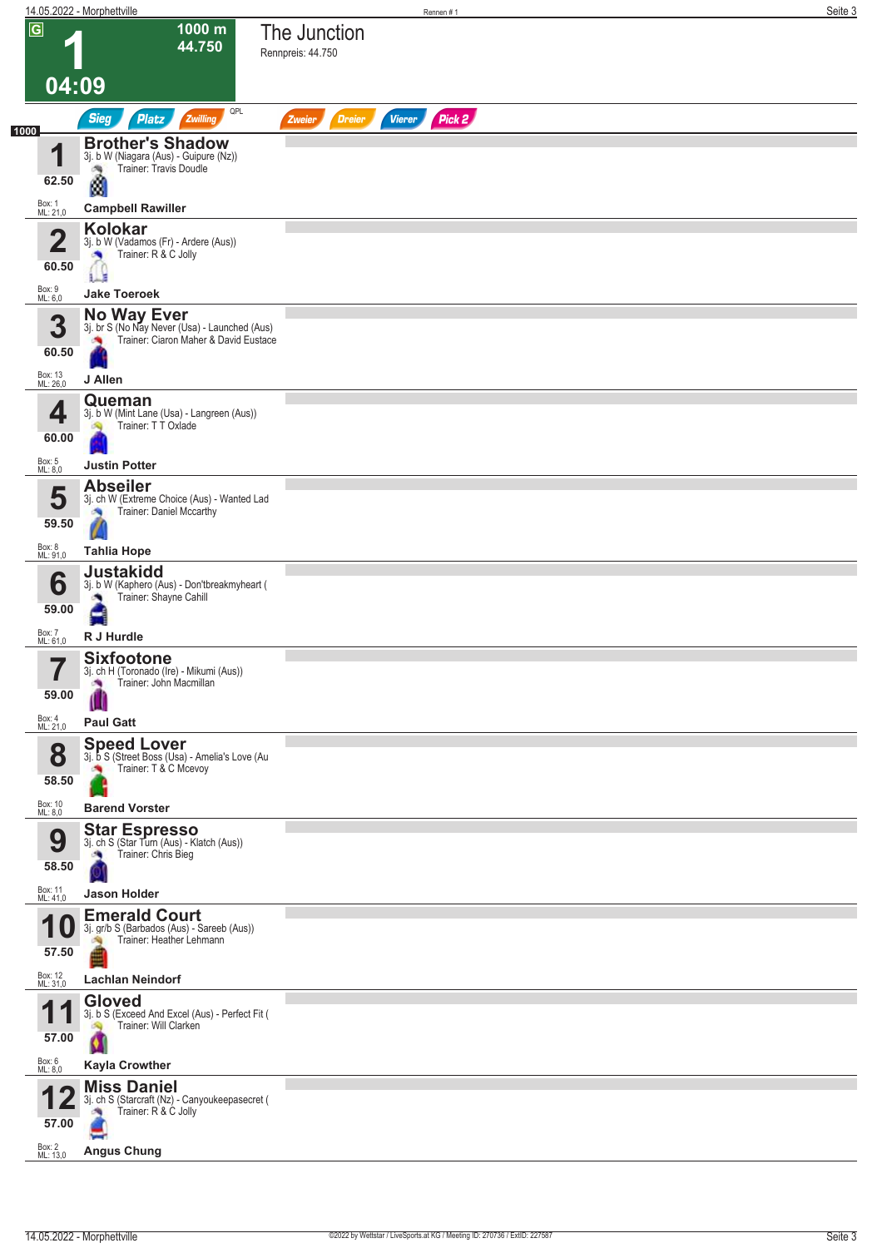|                              | 14.05.2022 - Morphettville                                                                                   | Seite 3<br>Rennen#1                                |
|------------------------------|--------------------------------------------------------------------------------------------------------------|----------------------------------------------------|
| $\boxed{G}$                  | 1000 m<br>44.750                                                                                             | The Junction<br>Rennpreis: 44.750                  |
| 04:09                        |                                                                                                              |                                                    |
| 1000                         | QPL<br><b>Sieg</b><br><b>Platz</b><br>Zwilling                                                               | Pick 2<br><b>Dreier</b><br><b>Vierer</b><br>Zweier |
| и<br>62.50                   | <b>Brother's Shadow</b><br>3j. b W (Niagara (Aus) - Guipure (Nz))<br>Trainer: Travis Doudle                  |                                                    |
| Box: 1<br>ML: 21,0           | Ø<br><b>Campbell Rawiller</b>                                                                                |                                                    |
| $\mathbf 2$                  | <b>Kolokar</b>                                                                                               |                                                    |
| 60.50                        | 3j. b W (Vadamos (Fr) - Ardere (Aus))<br>Trainer: R & C Jolly<br>۸<br>E                                      |                                                    |
| Box: 9<br>ML: 6,0            | <b>Jake Toeroek</b>                                                                                          |                                                    |
| 3<br>60.50                   | <b>No Way Ever</b><br>3j. br S (No Nay Never (Usa) - Launched (Aus)<br>Trainer: Ciaron Maher & David Eustace |                                                    |
| Box: 13<br>ML: 26,0          | J Allen<br>Queman                                                                                            |                                                    |
| 4<br>60.00<br>Box: 5         | 3j. b W (Mint Lane (Usa) - Langreen (Aus))<br>Trainer: TT Oxlade<br><b>SQ</b>                                |                                                    |
| ML: 8,0                      | <b>Justin Potter</b><br><b>Abseiler</b>                                                                      |                                                    |
| 5<br>59.50                   | 3j. ch W (Extreme Choice (Aus) - Wanted Lad<br>Trainer: Daniel Mccarthy                                      |                                                    |
| Box: 8<br>ML: 91,0           | <b>Tahlia Hope</b>                                                                                           |                                                    |
| 6<br>59.00                   | <b>Justakidd</b><br>3j. b W (Kaphero (Aus) - Don'tbreakmyheart (<br>Trainer: Shayne Cahill                   |                                                    |
| Box: 7<br>ML: 61,0           | R J Hurdle                                                                                                   |                                                    |
| 7<br>$\blacksquare$<br>59.00 | <b>Sixfootone</b><br>3j. ch H (Toronado (Ire) - Mikumi (Aus))<br>Trainer: John Macmillan<br>×                |                                                    |
| Box: 4<br>ML: 21,0           | <b>Paul Gatt</b>                                                                                             |                                                    |
| 8<br>58.50                   | <b>Speed Lover</b><br>3j. b S (Street Boss (Usa) - Amelia's Love (Au<br>Trainer: T & C Mcevoy                |                                                    |
| Box: 10<br>ML: 8,0           | <b>Barend Vorster</b>                                                                                        |                                                    |
| 9<br>58.50                   | <b>Star Espresso</b><br>3j. ch S (Star Turn (Aus) - Klatch (Aus))<br>Trainer: Chris Bieg                     |                                                    |
| Box: 11<br>ML: 41,0          | <b>Jason Holder</b><br><b>Emerald Court</b>                                                                  |                                                    |
| 57.50                        | 3j. gr/b S (Barbados (Aus) - Sareeb (Aus))<br>Trainer: Heather Lehmann                                       |                                                    |
| Box: 12<br>ML: 31,0          | <b>Lachlan Neindorf</b>                                                                                      |                                                    |
| и<br>57.00                   | <b>Gloved</b><br>3j. b S (Exceed And Excel (Aus) - Perfect Fit (<br>Trainer: Will Clarken                    |                                                    |
| Box: 6<br>ML: 8,0            | <b>Kayla Crowther</b>                                                                                        |                                                    |
| 57.00                        | <b>Miss Daniel</b><br>3j. ch S (Starcraft (Nz) - Canyoukeepasecret (<br>Trainer: R & C Jolly                 |                                                    |
| Box: 2<br>ML: 13,0           | <b>Angus Chung</b>                                                                                           |                                                    |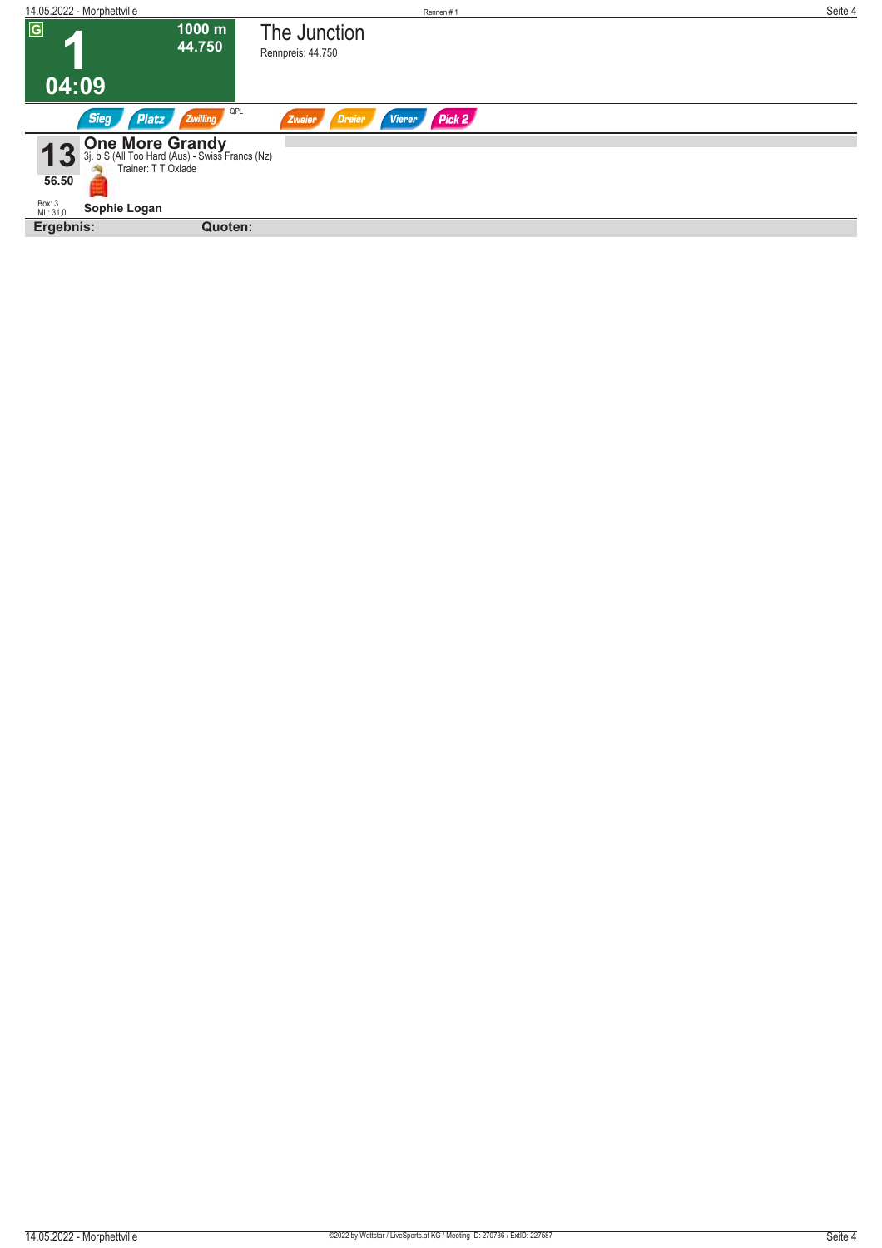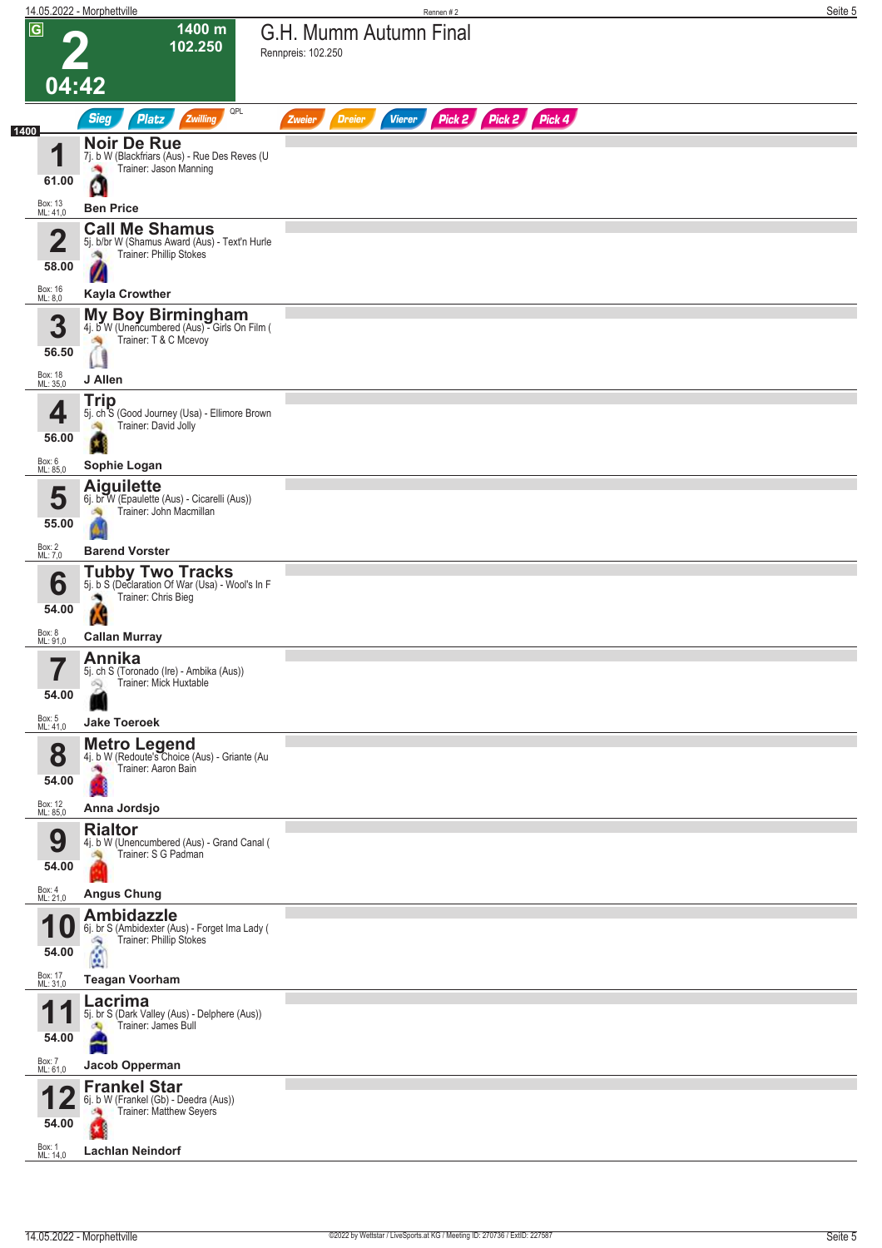|                |                              | 14.05.2022 - Morphettville                                                                             | Rennen#2                                                                | Seite 5 |
|----------------|------------------------------|--------------------------------------------------------------------------------------------------------|-------------------------------------------------------------------------|---------|
| $\overline{G}$ |                              | 1400 m<br>102.250                                                                                      | G.H. Mumm Autumn Final<br>Rennpreis: 102.250                            |         |
|                | 04:42                        |                                                                                                        |                                                                         |         |
|                |                              | QPL<br><b>Sieg</b><br>Zwilling<br><b>Platz</b>                                                         | Pick 2 Pick 2 Pick 4<br><b>Vierer</b><br><b>Dreier</b><br><b>Zweier</b> |         |
| 1400           | и                            | <b>Noir De Rue</b><br>7j. b W (Blackfriars (Aus) - Rue Des Reves (U                                    |                                                                         |         |
|                | 61.00                        | Trainer: Jason Manning<br>C                                                                            |                                                                         |         |
|                | Box: 13<br>ML: 41,0          | <b>Ben Price</b>                                                                                       |                                                                         |         |
|                | 2                            | <b>Call Me Shamus</b><br>5j. b/br W (Shamus Award (Aus) - Text'n Hurle                                 |                                                                         |         |
|                | 58.00                        | Trainer: Phillip Stokes<br>ंग्रे<br>И                                                                  |                                                                         |         |
|                | Box: 16<br>ML: 8,0           | <b>Kayla Crowther</b>                                                                                  |                                                                         |         |
|                | 3<br>56.50                   | My Boy Birmingham<br>4j. b W (Unencumbered (Aus) - Girls On Film (<br>Trainer: T & C Mcevoy            |                                                                         |         |
|                | Box: 18<br>ML: 35,0          | J Allen                                                                                                |                                                                         |         |
|                | 4<br>56.00                   | <b>Trip</b><br>5j. ch S (Good Journey (Usa) - Ellimore Brown<br>Trainer: David Jolly                   |                                                                         |         |
|                | Box: 6<br>ML: 85,0           | Sophie Logan                                                                                           |                                                                         |         |
|                | 5<br>55.00                   | <b>Aiguilette</b><br>6j. br W (Epaulette (Aus) - Cicarelli (Aus))<br>Trainer: John Macmillan           |                                                                         |         |
|                | Box: 2<br>ML: 7,0            | <b>Barend Vorster</b>                                                                                  |                                                                         |         |
|                | 6<br>54.00                   | <b>Tubby Two Tracks</b><br>5j. b S (Declaration Of War (Usa) - Wool's In F<br>Trainer: Chris Bieg<br>W |                                                                         |         |
|                | Box: 8<br>ML: 91,0           | <b>Callan Murray</b>                                                                                   |                                                                         |         |
|                | 7<br>$\blacksquare$<br>54.00 | Annika<br>5j. ch S (Toronado (Ire) - Ambika (Aus))<br>Trainer: Mick Huxtable<br>Q                      |                                                                         |         |
|                | Box: 5<br>ML: 41,0           | <b>Jake Toeroek</b>                                                                                    |                                                                         |         |
|                | 8<br>54.00                   | <b>Metro Legend</b><br>4j. b W (Redoute's Choice (Aus) - Griante (Au<br>Trainer: Aaron Bain<br>a,      |                                                                         |         |
|                | Box: 12<br>ML: 85,0          | Anna Jordsjo<br><b>Rialtor</b>                                                                         |                                                                         |         |
|                | 9<br>54.00                   | 4j. b W (Unencumbered (Aus) - Grand Canal (<br>Trainer: S G Padman                                     |                                                                         |         |
|                | Box: 4<br>ML: 21,0           | <b>Angus Chung</b><br><b>Ambidazzle</b>                                                                |                                                                         |         |
|                | и<br>U                       | 6j. br S (Ambidexter (Aus) - Forget Ima Lady (<br>Trainer: Phillip Stokes                              |                                                                         |         |
|                | 54.00<br>Box: 17<br>ML: 31,0 | ¢<br><b>Teagan Voorham</b>                                                                             |                                                                         |         |
|                |                              | Lacrima                                                                                                |                                                                         |         |
|                | 54.00                        | 5j. br S (Dark Valley (Aus) - Delphere (Aus))<br>Trainer: James Bull                                   |                                                                         |         |
|                | Box: 7<br>ML: 61,0           | Jacob Opperman                                                                                         |                                                                         |         |
|                | 54.00                        | <b>Frankel Star</b><br>6j. b W (Frankel (Gb) - Deedra (Aus))<br>Trainer: Matthew Seyers                |                                                                         |         |
|                | Box: $1$<br>ML: 14,0         | <b>Lachlan Neindorf</b>                                                                                |                                                                         |         |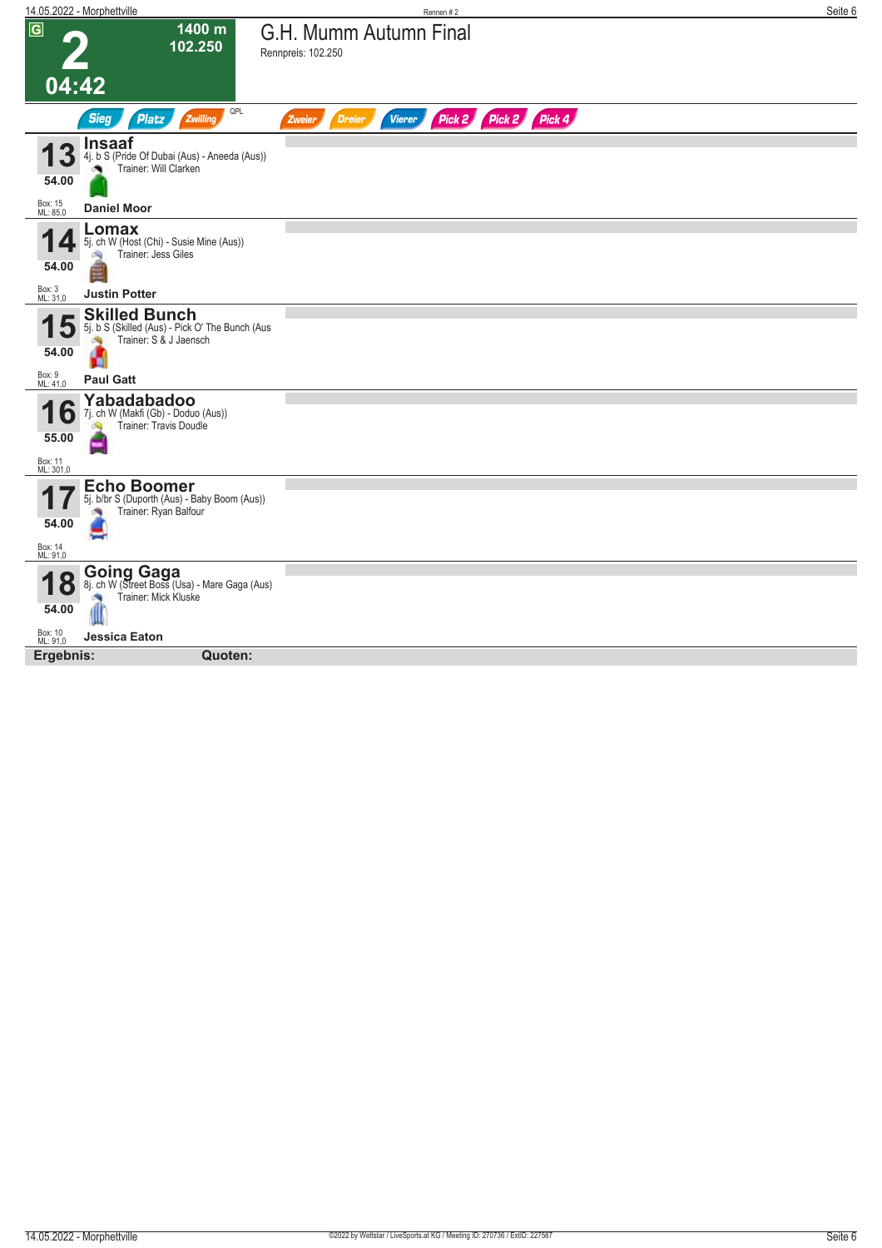|                                    | 14.05.2022 - Morphettville                                                                             | Rennen #2                                                        | Seite 6 |
|------------------------------------|--------------------------------------------------------------------------------------------------------|------------------------------------------------------------------|---------|
| $\overline{G}$<br>04:42            | 1400 m<br>102.250                                                                                      | G.H. Mumm Autumn Final<br>Rennpreis: 102.250                     |         |
|                                    | QPL<br><b>Sieg</b><br><b>Platz</b><br>Zwilling                                                         | Pick 2 Pick 2 Pick 4<br><b>Dreier</b><br><b>Vierer</b><br>Zweier |         |
| 3<br>54.00                         | <b>Insaaf</b><br>4j. b S (Pride Of Dubai (Aus) - Aneeda (Aus))<br>Trainer: Will Clarken                |                                                                  |         |
| Box: 15<br>ML: 85,0                | <b>Daniel Moor</b>                                                                                     |                                                                  |         |
| 54.00                              | Lomax<br>5j. ch W (Host (Chi) - Susie Mine (Aus))<br>Trainer: Jess Giles                               |                                                                  |         |
| Box: 3<br>ML: 31,0                 | <b>Justin Potter</b>                                                                                   |                                                                  |         |
| 15<br>54.00                        | <b>Skilled Bunch</b><br>5j. b S (Skilled (Aus) - Pick O' The Bunch (Aus<br>Trainer: S & J Jaensch<br>Ø |                                                                  |         |
| Box: 9<br>ML: 41,0                 | <b>Paul Gatt</b>                                                                                       |                                                                  |         |
| b<br>55.00<br>Box: 11<br>ML: 301,0 | Yabadabadoo<br>7j. ch W (Makfi (Gb) - Doduo (Aus))<br>Trainer: Travis Doudle                           |                                                                  |         |
| 54.00                              | <b>Echo Boomer</b><br>5j. b/br S (Duporth (Aus) - Baby Boom (Aus))<br>Trainer: Ryan Balfour            |                                                                  |         |
| Box: 14<br>ML: 91,0                |                                                                                                        |                                                                  |         |
| ( O<br>$\overline{O}$<br>54.00     | <b>Going Gaga</b><br>8j. ch W (Street Boss (Usa) - Mare Gaga (Aus)<br>Trainer: Mick Kluske             |                                                                  |         |
| Box: 10<br>ML: 91,0                | <b>Jessica Eaton</b>                                                                                   |                                                                  |         |
| Ergebnis:                          | Quoten:                                                                                                |                                                                  |         |
|                                    |                                                                                                        |                                                                  |         |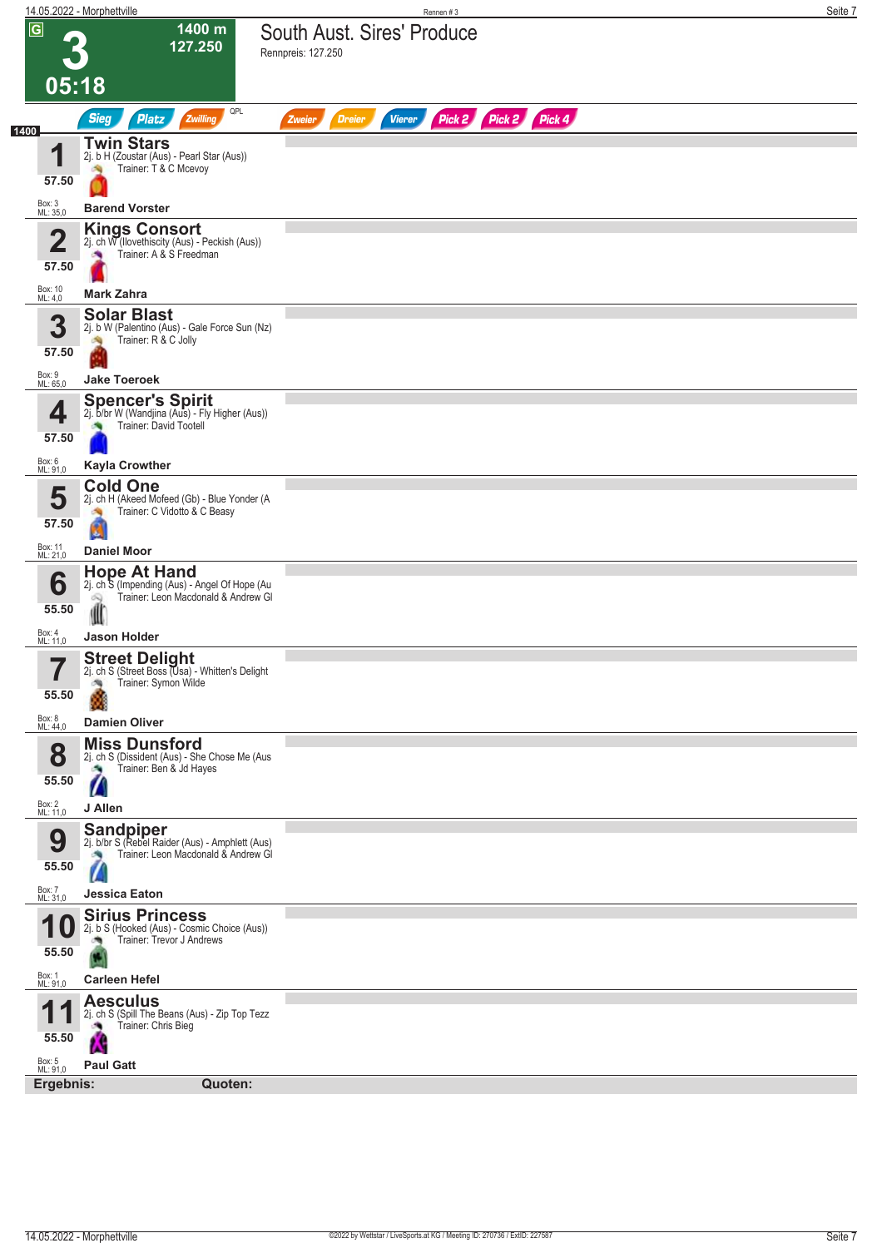|                                                    | 14.05.2022 - Morphettville                                                                                                    | Seite 7<br>Rennen #3                                             |
|----------------------------------------------------|-------------------------------------------------------------------------------------------------------------------------------|------------------------------------------------------------------|
| $\overline{G}$<br>05:18                            | 1400 m<br>127.250                                                                                                             | South Aust. Sires' Produce<br>Rennpreis: 127.250                 |
|                                                    | QPL<br><b>Sieg</b><br>Zwilling<br><b>Platz</b>                                                                                | Pick 2 Pick 2 Pick 4<br><b>Vierer</b><br><b>Dreier</b><br>Zweier |
| 1400<br>и<br>57.50<br>Box: 3<br>ML: 35,0           | <b>Twin Stars</b><br>2j. b H (Zoustar (Aus) - Pearl Star (Aus))<br>Trainer: T & C Mcevoy<br><b>Barend Vorster</b>             |                                                                  |
| $\overline{\mathbf{2}}$<br>57.50                   | <b>Kings Consort</b><br>2j. ch W (llovethiscity (Aus) - Peckish (Aus))<br>Trainer: A & S Freedman<br>o.                       |                                                                  |
| Box: 10<br>ML: 4,0                                 | <b>Mark Zahra</b>                                                                                                             |                                                                  |
| 3<br>57.50                                         | <b>Solar Blast</b><br>2j. b W (Palentino (Aus) - Gale Force Sun (Nz)<br>Trainer: R & C Jolly                                  |                                                                  |
| Box: 9<br>ML: 65,0                                 | <b>Jake Toeroek</b>                                                                                                           |                                                                  |
| 4<br>57.50                                         | <b>Spencer's Spirit</b><br>2j. b/br W (Wandjina (Aus) - Fly Higher (Aus))<br>Trainer: David Tootell                           |                                                                  |
| Box: 6<br>ML: 91,0                                 | <b>Kayla Crowther</b>                                                                                                         |                                                                  |
| 5<br>57.50<br>Box: 11<br>ML: 21,0                  | <b>Cold One</b><br>2j. ch H (Akeed Mofeed (Gb) - Blue Yonder (A<br>Trainer: C Vidotto & C Beasy<br>ø<br><b>Daniel Moor</b>    |                                                                  |
|                                                    | <b>Hope At Hand</b>                                                                                                           |                                                                  |
| 6<br>55.50                                         | 2j. ch S (Impending (Aus) - Angel Of Hope (Au<br>Trainer: Leon Macdonald & Andrew Gl                                          |                                                                  |
| Box: 4<br>ML: 11,0                                 | Jason Holder                                                                                                                  |                                                                  |
| 7<br>$\blacksquare$<br>55.50<br>Box: 8<br>ML: 44,0 | <b>Street Delight</b><br>2j. ch S (Street Boss (Usa) - Whitten's Delight<br>Trainer: Symon Wilde<br>鸬<br><b>Damien Oliver</b> |                                                                  |
|                                                    | <b>Miss Dunsford</b>                                                                                                          |                                                                  |
| 8<br>55.50                                         | 2j. ch S (Dissident (Aus) - She Chose Me (Aus<br>Trainer: Ben & Jd Hayes<br>o y<br>Z                                          |                                                                  |
| Box: 2<br>ML: 11,0                                 | J Allen                                                                                                                       |                                                                  |
| 9<br>55.50                                         | <b>Sandpiper</b><br>2j. b/br S (Rebel Raider (Aus) - Amphlett (Aus)<br>Trainer: Leon Macdonald & Andrew GI                    |                                                                  |
| Box: 7<br>ML: 31,0                                 | Jessica Eaton                                                                                                                 |                                                                  |
| 55.50                                              | <b>Sirius Princess</b><br>2j. b S (Hooked (Aus) - Cosmic Choice (Aus))<br>Trainer: Trevor J Andrews<br>确                      |                                                                  |
| Box: 1<br>ML: 91,0                                 | <b>Carleen Hefel</b>                                                                                                          |                                                                  |
| И<br>55.50                                         | <b>Aesculus</b><br>2j. ch S (Spill The Beans (Aus) - Zip Top Tezz<br>Trainer: Chris Bieg                                      |                                                                  |
| Box: 5<br>ML: 91,0                                 | <b>Paul Gatt</b>                                                                                                              |                                                                  |
| Ergebnis:                                          | Quoten:                                                                                                                       |                                                                  |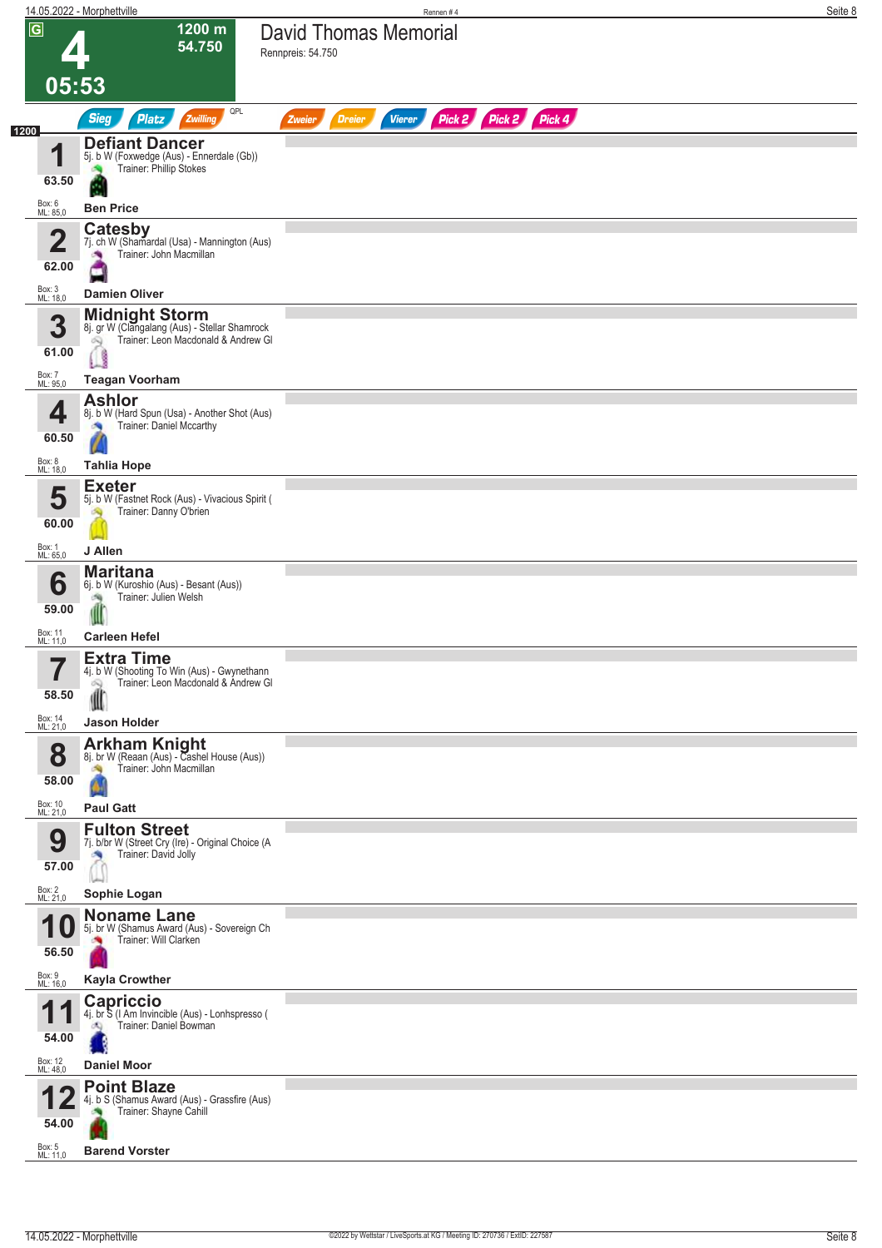|                                   | 14.05.2022 - Morphettville                                                                                                     | Rennen#4                                                         | Seite 8 |
|-----------------------------------|--------------------------------------------------------------------------------------------------------------------------------|------------------------------------------------------------------|---------|
| $\overline{G}$<br>05:53           | 1200 m<br>54.750                                                                                                               | <b>David Thomas Memorial</b><br>Rennpreis: 54.750                |         |
|                                   | QPL                                                                                                                            |                                                                  |         |
| 1200                              | <b>Sieg</b><br><b>Platz</b><br>Zwilling                                                                                        | Pick 2 Pick 2 Pick 4<br><b>Vierer</b><br><b>Dreier</b><br>Zweier |         |
| 4<br>63.50                        | <b>Defiant Dancer</b><br>5j. b W (Foxwedge (Aus) - Ennerdale (Gb))<br>Trainer: Phillip Stokes                                  |                                                                  |         |
| Box: 6<br>ML: 85,0                | <b>Ben Price</b>                                                                                                               |                                                                  |         |
| 2<br>62.00                        | Catesby<br>7j. ch W (Shamardal (Usa) - Mannington (Aus)<br>Trainer: John Macmillan                                             |                                                                  |         |
| Box: 3<br>ML: 18,0                | <b>Damien Oliver</b>                                                                                                           |                                                                  |         |
| 3<br>61.00                        | <b>Midnight Storm</b><br>8j. gr W (Clangalang (Aus) - Stellar Shamrock<br>Trainer: Leon Macdonald & Andrew Gl<br>Q<br><b>b</b> |                                                                  |         |
| Box: 7<br>ML: 95,0                | <b>Teagan Voorham</b>                                                                                                          |                                                                  |         |
| 4<br>60.50<br>Box: 8              | <b>Ashlor</b><br>8j. b W (Hard Spun (Usa) - Another Shot (Aus)<br>Trainer: Daniel Mccarthy<br>×<br><b>Tahlia Hope</b>          |                                                                  |         |
| ML: 18,0                          |                                                                                                                                |                                                                  |         |
| 5<br>60.00<br>Box: 1              | <b>Exeter</b><br>5j. b W (Fastnet Rock (Aus) - Vivacious Spirit (<br>Trainer: Danny O'brien                                    |                                                                  |         |
| ML: 65,0                          | J Allen                                                                                                                        |                                                                  |         |
| 6<br>59.00                        | <b>Maritana</b><br>6j. b W (Kuroshio (Aus) - Besant (Aus))<br>Trainer: Julien Welsh<br>瀬                                       |                                                                  |         |
|                                   | <b>Carleen Hefel</b>                                                                                                           |                                                                  |         |
| Box: 11<br>ML: 11,0               |                                                                                                                                |                                                                  |         |
| 7<br>$\blacksquare$<br>58.50      | <b>Extra Time</b><br>4j. b W (Shooting To Win (Aus) - Gwynethann<br>Trainer: Leon Macdonald & Andrew Gl<br>ôQ.<br>Æ            |                                                                  |         |
| Box: 14<br>ML: 21,0               | Jason Holder                                                                                                                   |                                                                  |         |
| 8<br>58.00<br>Box: 10<br>ML: 21,0 | <b>Arkham Knight</b><br>8j. br W (Reaan (Aus) - Cashel House (Aus))<br>Trainer: John Macmillan<br><b>Paul Gatt</b>             |                                                                  |         |
|                                   | <b>Fulton Street</b>                                                                                                           |                                                                  |         |
| 9<br>57.00                        | 7j. b/br W (Street Cry (Ire) - Original Choice (A<br>Trainer: David Jolly                                                      |                                                                  |         |
| Box: 2<br>ML: 21,0                | Sophie Logan                                                                                                                   |                                                                  |         |
| И<br>56.50                        | <b>Noname Lane</b><br>5j. br W (Shamus Award (Aus) - Sovereign Ch<br>Trainer: Will Clarken                                     |                                                                  |         |
| Box: 9<br>ML: 16,0                | <b>Kayla Crowther</b>                                                                                                          |                                                                  |         |
| 54.00                             | <b>Capriccio</b><br>4j. br S (I Am Invincible (Aus) - Lonhspresso (<br>Trainer: Daniel Bowman<br>dQ.                           |                                                                  |         |
| Box: 12<br>ML: 48,0               | <b>Daniel Moor</b>                                                                                                             |                                                                  |         |
| 54.00                             | <b>Point Blaze</b><br>4j. b S (Shamus Award (Aus) - Grassfire (Aus)<br>Trainer: Shayne Cahill                                  |                                                                  |         |
| Box: 5<br>ML: 11,0                | <b>Barend Vorster</b>                                                                                                          |                                                                  |         |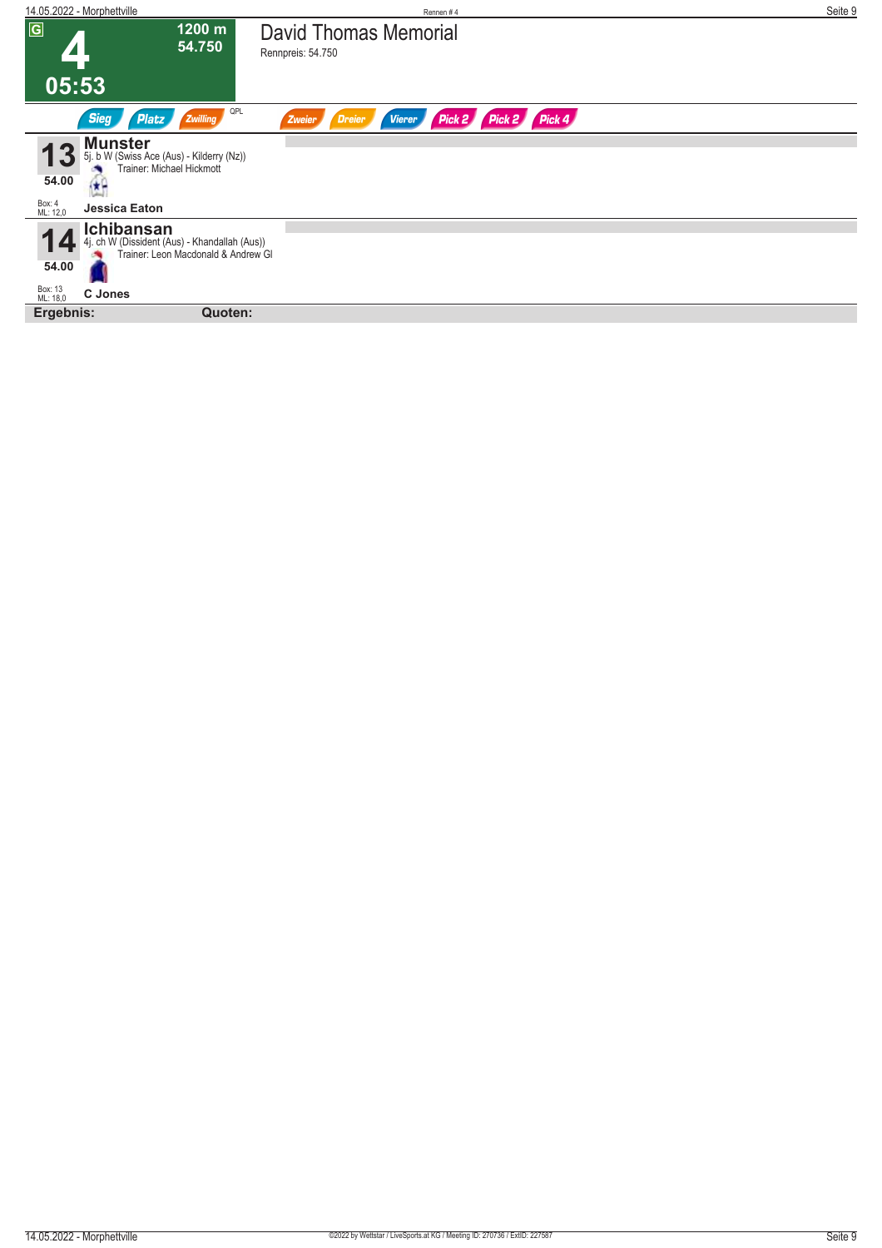| 14.05.2022 - Morphettville                                                                                         | Rennen#4                                                  | Seite 9 |
|--------------------------------------------------------------------------------------------------------------------|-----------------------------------------------------------|---------|
| $\boxed{G}$<br>1200 m<br>54.750                                                                                    | <b>David Thomas Memorial</b><br>Rennpreis: 54.750         |         |
| 05:53                                                                                                              |                                                           |         |
| QPL<br><b>Sieg</b><br><b>Platz</b><br><b>Zwilling</b>                                                              | Pick 2 Pick 2 Pick 4<br><b>Vierer</b><br>Dreier<br>Zweier |         |
| <b>Munster</b><br>5j. b W (Swiss Ace (Aus) - Kilderry (Nz))<br>Trainer: Michael Hickmott<br>54.00<br>i k e         |                                                           |         |
| Box: 4<br>ML: 12,0<br>Jessica Eaton                                                                                |                                                           |         |
| <b>Ichibansan</b><br>4j. ch W (Dissident (Aus) - Khandallah (Aus))<br>Trainer: Leon Macdonald & Andrew Gl<br>54.00 |                                                           |         |
|                                                                                                                    |                                                           |         |
| Box: 13<br>ML: 18,0<br><b>C</b> Jones                                                                              |                                                           |         |
| Ergebnis:<br>Quoten:                                                                                               |                                                           |         |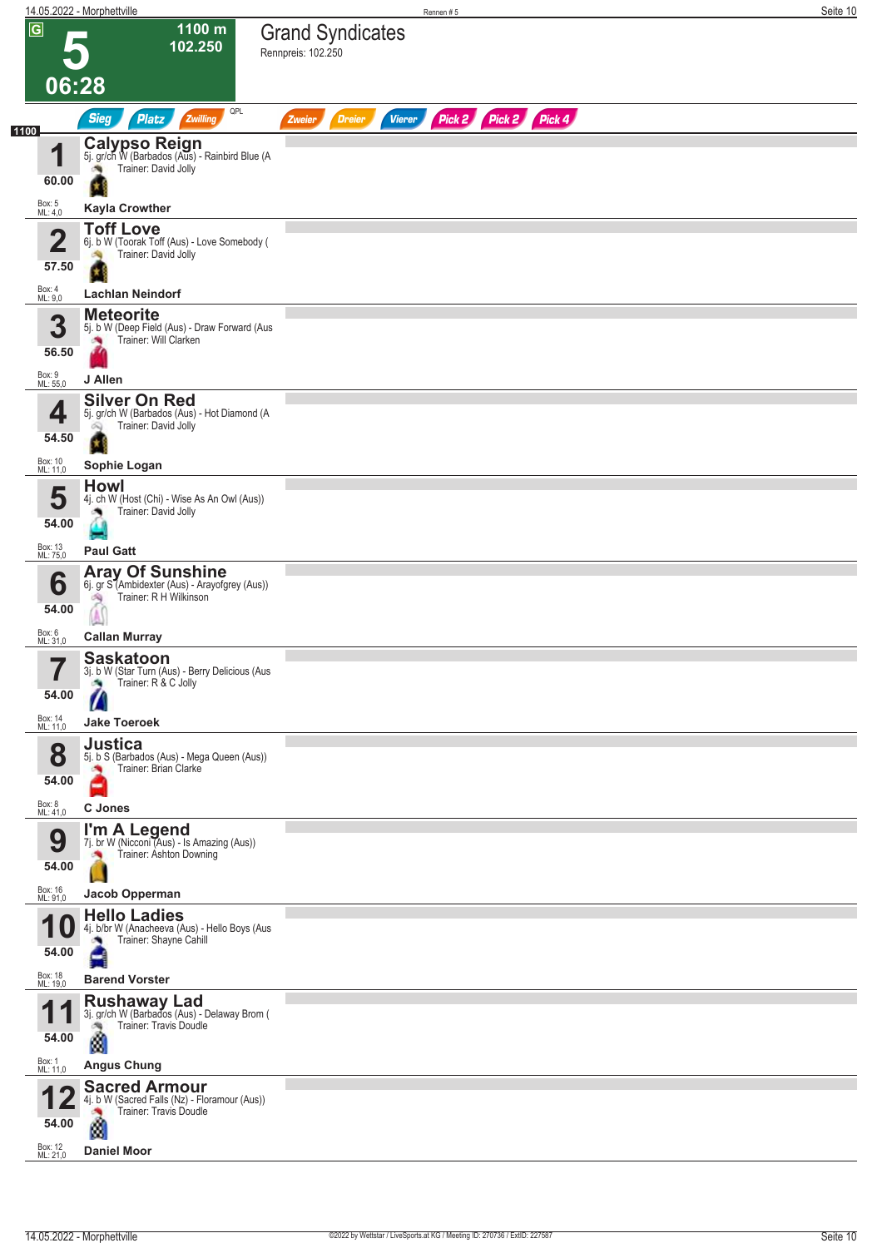|                         | 14.05.2022 - Morphettville                                                                                | Rennen#5                                                         | Seite 10 |
|-------------------------|-----------------------------------------------------------------------------------------------------------|------------------------------------------------------------------|----------|
| $\overline{G}$<br>06:28 | 1100 m<br>102.250                                                                                         | <b>Grand Syndicates</b><br>Rennpreis: 102.250                    |          |
| 1100                    | QPL<br><b>Sieg</b><br><b>Platz</b><br>Zwilling                                                            | Pick 2 Pick 2 Pick 4<br><b>Dreier</b><br><b>Vierer</b><br>Zweier |          |
| 4<br>60.00              | <b>Calypso Reign</b><br>5j. gr/ch W (Barbados (Aus) - Rainbird Blue (A<br>Trainer: David Jolly<br>÷,<br>× |                                                                  |          |
| Box: 5<br>ML: 4,0       | <b>Kayla Crowther</b>                                                                                     |                                                                  |          |
| $\overline{2}$<br>57.50 | <b>Toff Love</b><br>6j. b W (Toorak Toff (Aus) - Love Somebody (<br>Trainer: David Jolly                  |                                                                  |          |
| Box: 4<br>ML: 9,0       | <b>Lachlan Neindorf</b>                                                                                   |                                                                  |          |
| 3<br>56.50              | <b>Meteorite</b><br>5j. b W (Deep Field (Aus) - Draw Forward (Aus<br>Trainer: Will Clarken                |                                                                  |          |
| Box: 9<br>ML: 55,0      | J Allen                                                                                                   |                                                                  |          |
| 4<br>54.50              | <b>Silver On Red</b><br>5j. gr/ch W (Barbados (Aus) - Hot Diamond (A<br>Trainer: David Jolly<br>Ŵ         |                                                                  |          |
| Box: 10<br>ML: 11,0     | Sophie Logan                                                                                              |                                                                  |          |
| 5<br>54.00              | <b>Howl</b><br>4j. ch W (Host (Chi) - Wise As An Owl (Aus))<br>Trainer: David Jolly                       |                                                                  |          |
| Box: 13<br>ML: 75,0     | <b>Paul Gatt</b>                                                                                          |                                                                  |          |
| 6<br>54.00              | <b>Aray Of Sunshine</b><br>6j. gr S (Ambidexter (Aus) - Arayofgrey (Aus))<br>Trainer: R H Wilkinson<br>啕  |                                                                  |          |
| Box: 6<br>ML: 31,0      | <b>Callan Murray</b>                                                                                      |                                                                  |          |
| $\rightarrow$<br>54.00  | <b>Saskatoon</b><br>3j. b W (Star Turn (Aus) - Berry Delicious (Aus<br>Trainer: R & C Jolly               |                                                                  |          |
| Box: 14<br>ML: 11,0     | <b>Jake Toeroek</b>                                                                                       |                                                                  |          |
| 8<br>54.00              | <b>Justica</b><br>5j. b S (Barbados (Aus) - Mega Queen (Aus))<br>Trainer: Brian Clarke                    |                                                                  |          |
| Box: 8<br>ML: 41,0      | C Jones                                                                                                   |                                                                  |          |
| 9<br>54.00              | I'm A Legend<br>7j. br W (Nicconi (Aus) - Is Amazing (Aus))<br>Trainer: Ashton Downing                    |                                                                  |          |
| Box: 16<br>ML: 91,0     | Jacob Opperman                                                                                            |                                                                  |          |
| 1<br>U<br>54.00         | <b>Hello Ladies</b><br>4j. b/br W (Anacheeva (Aus) - Hello Boys (Aus<br>Trainer: Shayne Cahill            |                                                                  |          |
| Box: 18<br>ML: 19,0     | <b>Barend Vorster</b>                                                                                     |                                                                  |          |
| и<br>54.00              | <b>Rushaway Lad</b><br>3j. gr/ch W (Barbados (Aus) - Delaway Brom (<br>Trainer: Travis Doudle<br>Ø        |                                                                  |          |
| Box: 1<br>ML: 11,0      | <b>Angus Chung</b>                                                                                        |                                                                  |          |
| 54.00                   | <b>Sacred Armour</b><br>4j. b W (Sacred Falls (Nz) - Floramour (Aus))<br>Trainer: Travis Doudle<br>đ      |                                                                  |          |
| Box: 12<br>ML: 21,0     | <b>Daniel Moor</b>                                                                                        |                                                                  |          |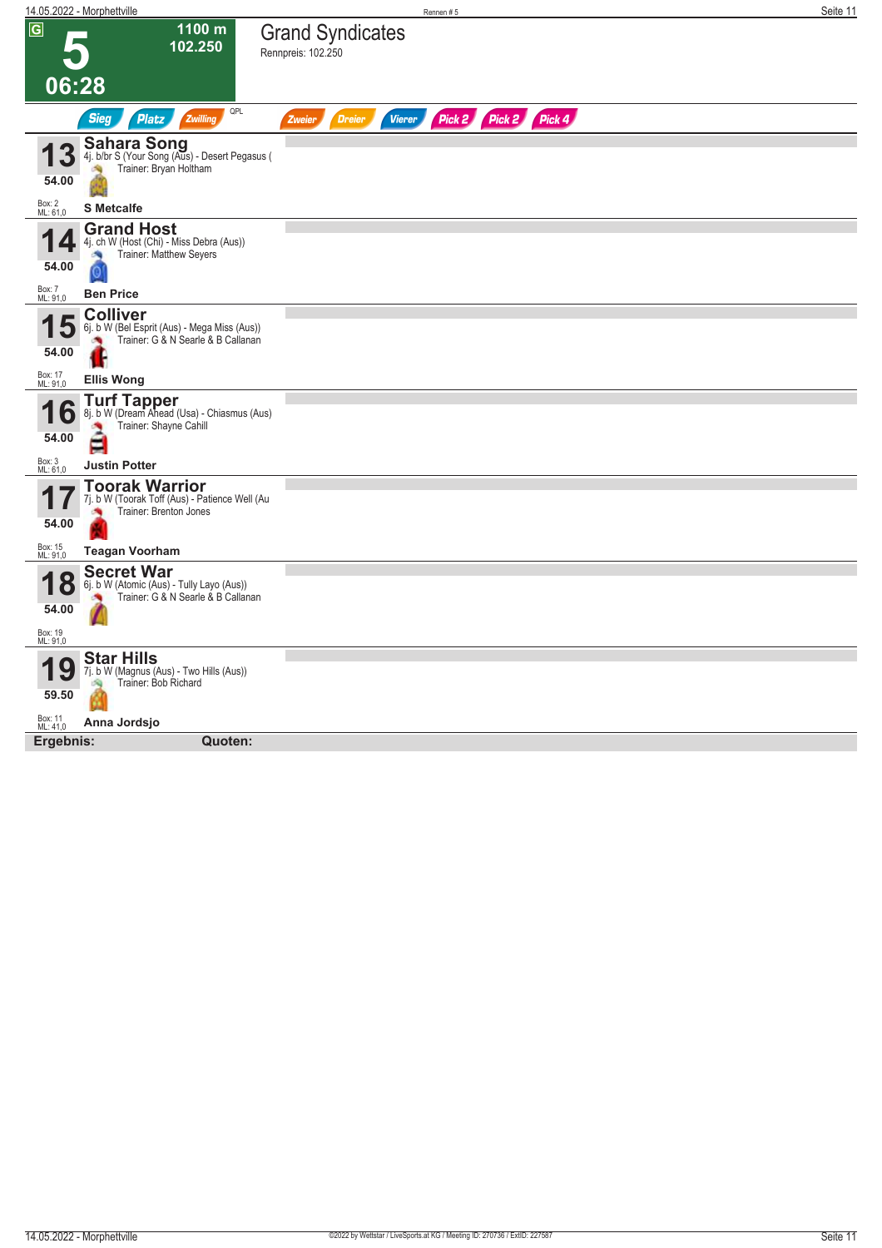|                                   | <u>14.05.2022 - Morphettville</u>                                                                     | Rennen#5                                      |                      | Seite 11 |
|-----------------------------------|-------------------------------------------------------------------------------------------------------|-----------------------------------------------|----------------------|----------|
| $\overline{G}$                    | 1100 m<br>102.250                                                                                     | <b>Grand Syndicates</b><br>Rennpreis: 102.250 |                      |          |
| 06:28                             |                                                                                                       |                                               |                      |          |
|                                   | QPL<br><b>Sieg</b><br><b>Platz</b><br>Zwilling                                                        | <b>Dreier</b><br><b>Vierer</b><br>Zweier      | Pick 2 Pick 2 Pick 4 |          |
| 3<br>54.00                        | <b>Sahara Song</b><br>4j. b/br S (Your Song (Aus) - Desert Pegasus (<br>Trainer: Bryan Holtham        |                                               |                      |          |
| Box: 2<br>ML: 61,0                | <b>S</b> Metcalfe                                                                                     |                                               |                      |          |
| 54.00                             | <b>Grand Host</b><br>4j. ch W (Host (Chi) - Miss Debra (Aus))<br>Trainer: Matthew Seyers<br>O         |                                               |                      |          |
| Box: 7<br>ML: 91,0                | <b>Ben Price</b>                                                                                      |                                               |                      |          |
| Đ<br>54.00                        | <b>Colliver</b><br>6j. b W (Bel Esprit (Aus) - Mega Miss (Aus))<br>Trainer: G & N Searle & B Callanan |                                               |                      |          |
| Box: 17<br>ML: 91,0               | <b>Ellis Wong</b>                                                                                     |                                               |                      |          |
| b<br>54.00                        | <b>Turf Tapper</b><br>8j. b W (Dream Ahead (Usa) - Chiasmus (Aus)<br>Trainer: Shayne Cahill<br>à      |                                               |                      |          |
| Box: 3<br>ML: 61,0                | <b>Justin Potter</b>                                                                                  |                                               |                      |          |
| 54.00                             | <b>Toorak Warrior</b><br>7j. b W (Toorak Toff (Aus) - Patience Well (Au<br>Trainer: Brenton Jones     |                                               |                      |          |
| Box: 15<br>ML: 91,0               | <b>Teagan Voorham</b>                                                                                 |                                               |                      |          |
| 8<br>54.00<br>Box: 19<br>ML: 91,0 | <b>Secret War</b><br>6j. b W (Atomic (Aus) - Tully Layo (Aus))<br>Trainer: G & N Searle & B Callanan  |                                               |                      |          |
|                                   |                                                                                                       |                                               |                      |          |
| 9<br>59.50                        | <b>Star Hills</b><br>7j. b W (Magnus (Aus) - Two Hills (Aus))<br>Trainer: Bob Richard                 |                                               |                      |          |
| Box: 11<br>ML: 41,0               | Anna Jordsjo                                                                                          |                                               |                      |          |
| Ergebnis:                         | Quoten:                                                                                               |                                               |                      |          |
|                                   |                                                                                                       |                                               |                      |          |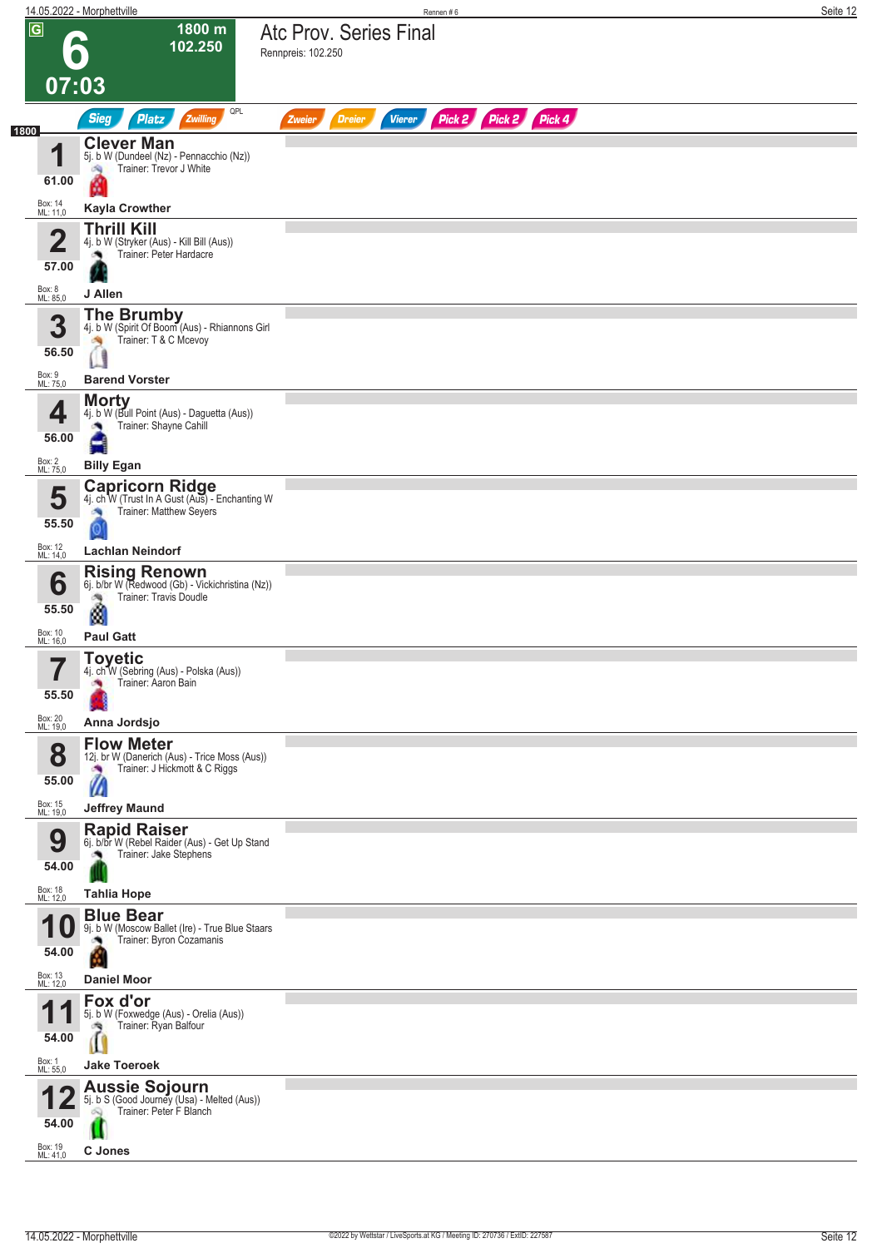|                |                              | 14.05.2022 - Morphettville                                                                                    | Rennen#6                                                         | Seite 12 |
|----------------|------------------------------|---------------------------------------------------------------------------------------------------------------|------------------------------------------------------------------|----------|
| $\overline{G}$ |                              | 1800 m<br>102.250                                                                                             | Atc Prov. Series Final<br>Rennpreis: 102.250                     |          |
|                | 07:03                        |                                                                                                               |                                                                  |          |
| 1800           |                              | QPL<br><b>Sieg</b><br>Platz<br>Zwilling                                                                       | Pick 2 Pick 2 Pick 4<br><b>Vierer</b><br><b>Dreier</b><br>Zweier |          |
|                | И<br>61.00                   | <b>Clever Man</b><br>5j. b W (Dundeel (Nz) - Pennacchio (Nz))<br>Trainer: Trevor J White<br>đ.<br>œ           |                                                                  |          |
|                | Box: 14<br>ML: 11,0          | <b>Kayla Crowther</b>                                                                                         |                                                                  |          |
|                | 2<br>57.00                   | <b>Thrill Kill</b><br>4j. b W (Stryker (Aus) - Kill Bill (Aus))<br>Trainer: Peter Hardacre<br>×,              |                                                                  |          |
|                | Box: 8<br>ML: 85,0           | J Allen                                                                                                       |                                                                  |          |
|                | 3<br>56.50                   | <b>The Brumby</b><br>4j. b W (Spirit Of Boom (Aus) - Rhiannons Girl<br>Trainer: T & C Mcevoy<br>- Sig         |                                                                  |          |
|                | Box: 9<br>ML: 75,0           | <b>Barend Vorster</b>                                                                                         |                                                                  |          |
|                | 4<br>56.00<br>Box: 2         | <b>Morty</b><br>4j. b W (Bull Point (Aus) - Daguetta (Aus))<br>Trainer: Shayne Cahill<br>$\rightarrow$        |                                                                  |          |
|                | ML: 75,0                     | <b>Billy Egan</b><br><b>Capricorn Ridge</b>                                                                   |                                                                  |          |
|                | 5<br>55.50                   | 4j. ch W (Trust In A Gust (Aus) - Enchanting W<br>Trainer: Matthew Seyers<br>×<br>$\vert 0 \vert$             |                                                                  |          |
|                | Box: 12<br>ML: 14,0          | <b>Lachlan Neindorf</b>                                                                                       |                                                                  |          |
|                | 6<br>55.50                   | <b>Rising Renown</b><br>6j. b/br W (Redwood (Gb) - Vickichristina (Nz))<br>Trainer: Travis Doudle<br>Ø        |                                                                  |          |
|                | Box: 10<br>ML: 16,0          | <b>Paul Gatt</b>                                                                                              |                                                                  |          |
|                | 7<br>ı<br>55.50              | Toyetic<br>4j. ch W (Sebring (Aus) - Polska (Aus))<br>Trainer: Aaron Bain<br>۸                                |                                                                  |          |
|                | Box: 20<br>ML: 19,0          | Anna Jordsjo                                                                                                  |                                                                  |          |
|                | 8<br>55.00                   | <b>Flow Meter</b><br>12j. br W (Danerich (Aus) - Trice Moss (Aus))<br>Trainer: J Hickmott & C Riggs<br>×<br>Ø |                                                                  |          |
|                | Box: 15<br>ML: 19,0          | <b>Jeffrey Maund</b>                                                                                          |                                                                  |          |
|                | 9<br>54.00                   | <b>Rapid Raiser</b><br>6j. b/br W (Rebel Raider (Aus) - Get Up Stand<br>Trainer: Jake Stephens                |                                                                  |          |
|                | Box: 18<br>ML: 12,0          | <b>Tahlia Hope</b>                                                                                            |                                                                  |          |
|                | и<br>54.00                   | <b>Blue Bear</b><br>9j. b W (Moscow Ballet (Ire) - True Blue Staars<br>Trainer: Byron Cozamanis               |                                                                  |          |
|                | Box: 13<br>ML: 12,0          | <b>Daniel Moor</b>                                                                                            |                                                                  |          |
|                | и<br>54.00                   | Fox d'or<br>5j. b W (Foxwedge (Aus) - Orelia (Aus))<br>Trainer: Ryan Balfour                                  |                                                                  |          |
|                | Box: 1<br>ML: 55,0           | <b>Jake Toeroek</b>                                                                                           |                                                                  |          |
|                | 54.00<br>Box: 19<br>ML: 41,0 | <b>Aussie Sojourn</b><br>5j. b S (Good Journey (Usa) - Melted (Aus))<br>Trainer: Peter F Blanch<br>C Jones    |                                                                  |          |
|                |                              |                                                                                                               |                                                                  |          |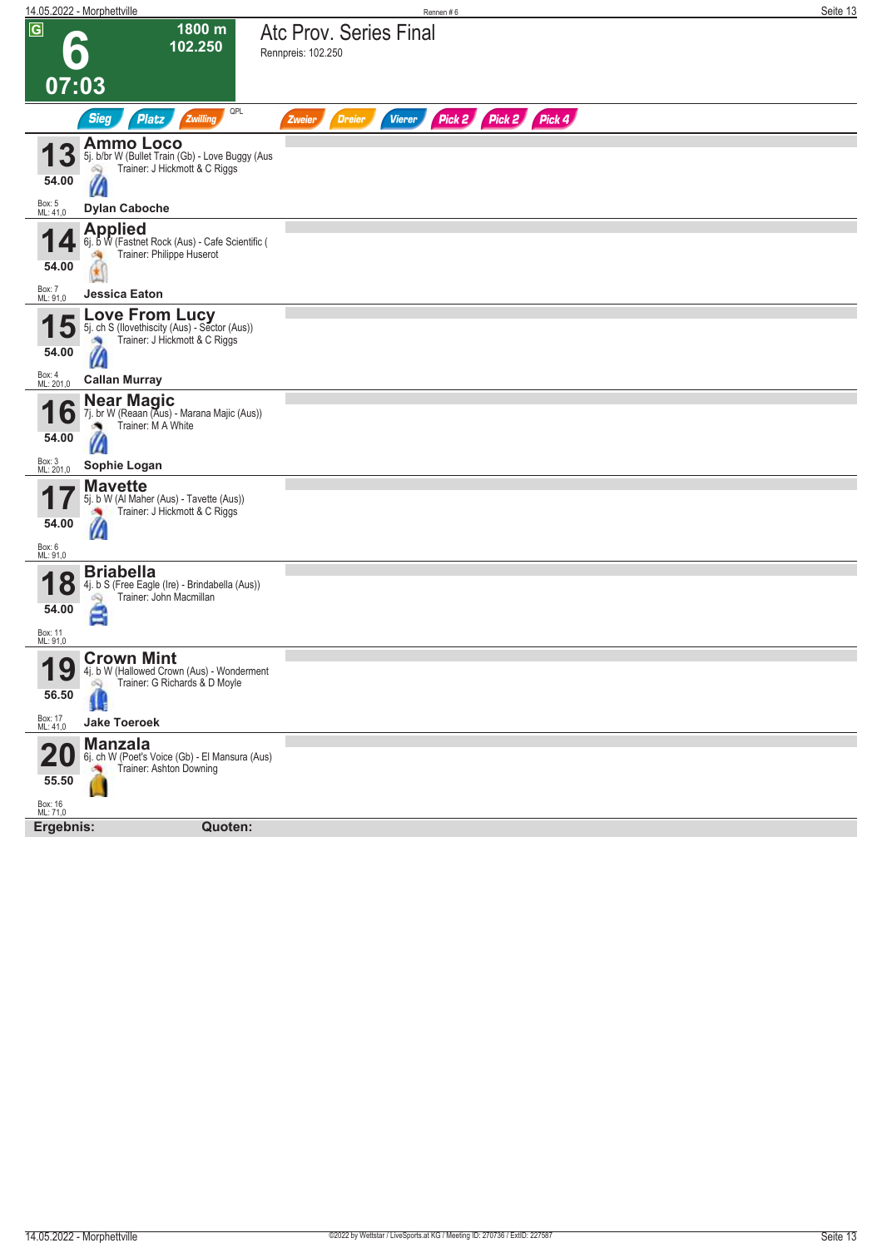|                     | 14.05.2022 - Morphettville                                                       | Rennen#6                                                         | Seite 13 |
|---------------------|----------------------------------------------------------------------------------|------------------------------------------------------------------|----------|
| $\overline{G}$      | 1800 m                                                                           | Atc Prov. Series Final                                           |          |
|                     | 102.250                                                                          | Rennpreis: 102.250                                               |          |
|                     |                                                                                  |                                                                  |          |
| 07:03               |                                                                                  |                                                                  |          |
|                     |                                                                                  |                                                                  |          |
|                     | QPL<br><b>Sieg</b><br>Platz<br>Zwilling                                          | Pick 2 Pick 2 Pick 4<br><b>Vierer</b><br><b>Dreier</b><br>Zweier |          |
|                     | <b>Ammo Loco</b>                                                                 |                                                                  |          |
|                     | 5j. b/br W (Bullet Train (Gb) - Love Buggy (Aus<br>Trainer: J Hickmott & C Riggs |                                                                  |          |
| 54.00               | à                                                                                |                                                                  |          |
| Box: 5<br>ML: 41,0  | <b>Dylan Caboche</b>                                                             |                                                                  |          |
|                     |                                                                                  |                                                                  |          |
|                     | Applied<br>6j. b W (Fastnet Rock (Aus) - Cafe Scientific (                       |                                                                  |          |
| 54.00               | Trainer: Philippe Huserot                                                        |                                                                  |          |
|                     |                                                                                  |                                                                  |          |
| Box: 7<br>ML: 91,0  | <b>Jessica Eaton</b>                                                             |                                                                  |          |
|                     | <b>Love From Lucy</b><br>5j. ch S (Ilovethiscity (Aus) - Sector (Aus))           |                                                                  |          |
|                     | Trainer: J Hickmott & C Riggs                                                    |                                                                  |          |
| 54.00               | W                                                                                |                                                                  |          |
| Box: 4<br>ML: 201,0 | <b>Callan Murray</b>                                                             |                                                                  |          |
|                     | <b>Near Magic</b>                                                                |                                                                  |          |
| O                   | 7j. br W (Reaan (Aus) - Marana Majic (Aus))<br>Trainer: M A White                |                                                                  |          |
| 54.00               | $\mathcal{U}$                                                                    |                                                                  |          |
|                     |                                                                                  |                                                                  |          |
| Box: 3<br>ML: 201,0 | Sophie Logan                                                                     |                                                                  |          |
|                     | <b>Mavette</b><br>5j. b W (Al Maher (Aus) - Tavette (Aus))                       |                                                                  |          |
|                     | Trainer: J Hickmott & C Riggs                                                    |                                                                  |          |
| 54.00               | $\mathcal{U}$                                                                    |                                                                  |          |
| Box: 6<br>ML: 91,0  |                                                                                  |                                                                  |          |
|                     | <b>Briabella</b>                                                                 |                                                                  |          |
| 1<br>8              | 4j. b S (Free Eagle (Ire) - Brindabella (Aus))<br>Trainer: John Macmillan<br>ôQ) |                                                                  |          |
| 54.00               | Ξ                                                                                |                                                                  |          |
| Box: 11             |                                                                                  |                                                                  |          |
| ML: 91,0            |                                                                                  |                                                                  |          |
| Q<br>1              | <b>Crown Mint</b><br>4j. b W (Hallowed Crown (Aus) - Wonderment                  |                                                                  |          |
| I J                 | Trainer: G Richards & D Moyle<br>Q                                               |                                                                  |          |
| 56.50               |                                                                                  |                                                                  |          |
| Box: 17<br>ML: 41,0 | <b>Jake Toeroek</b>                                                              |                                                                  |          |
|                     | <b>Manzala</b>                                                                   |                                                                  |          |
|                     | 6j. ch W (Poet's Voice (Gb) - El Mansura (Aus)<br>Trainer: Ashton Downing        |                                                                  |          |
| 55.50               |                                                                                  |                                                                  |          |
| Box: 16<br>ML: 71,0 |                                                                                  |                                                                  |          |
| Ergebnis:           | Quoten:                                                                          |                                                                  |          |
|                     |                                                                                  |                                                                  |          |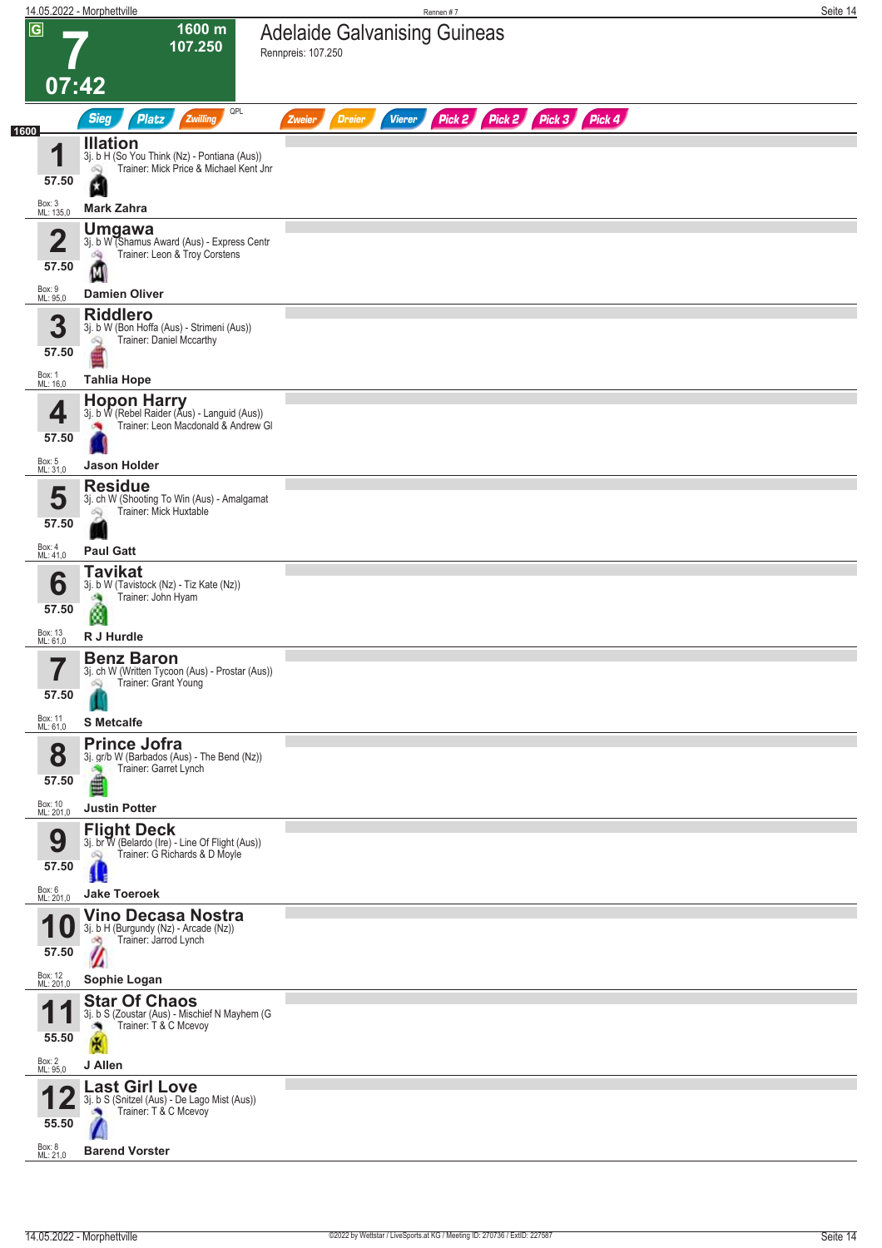|                                  | 14.05.2022 - Morphettville                                                                                                     | Rennen#7                                                                | Seite 14 |
|----------------------------------|--------------------------------------------------------------------------------------------------------------------------------|-------------------------------------------------------------------------|----------|
| $\overline{G}$                   | 1600 m<br>107.250<br>[07:42]                                                                                                   | <b>Adelaide Galvanising Guineas</b><br>Rennpreis: 107.250               |          |
|                                  | QPL<br><b>Sieg</b><br>Platz<br>Zwilling                                                                                        | Pick 2 Pick 2 Pick 3 Pick 4<br><b>Vierer</b><br><b>Dreier</b><br>Zweier |          |
| 1600<br>4<br>57.50               | <b>Illation</b><br>3j. b H (So You Think (Nz) - Pontiana (Aus))<br>Trainer: Mick Price & Michael Kent Jnr<br><b>Mark Zahra</b> |                                                                         |          |
| Box: 3<br>ML: 135,0              |                                                                                                                                |                                                                         |          |
| 2<br>57.50                       | <b>Umgawa</b><br>3j. b W (Shamus Award (Aus) - Express Centr<br>Trainer: Leon & Troy Corstens<br>询<br>M                        |                                                                         |          |
| Box: 9<br>ML: 95,0               | <b>Damien Oliver</b>                                                                                                           |                                                                         |          |
| 3<br>57.50<br>Box: 1<br>ML: 16,0 | <b>Riddlero</b><br>3j. b W (Bon Hoffa (Aus) - Strimeni (Aus))<br>Trainer: Daniel Mccarthy<br>Q<br><b>Tahlia Hope</b>           |                                                                         |          |
|                                  | <b>Hopon Harry</b>                                                                                                             |                                                                         |          |
| 4<br>57.50<br>Box: 5             | 3j. b W (Rebel Raider (Aus) - Languid (Aus))<br>Trainer: Leon Macdonald & Andrew GI                                            |                                                                         |          |
| ML: 31,0                         | <b>Jason Holder</b><br><b>Residue</b>                                                                                          |                                                                         |          |
| 5<br>57.50                       | 3j. ch W (Shooting To Win (Aus) - Amalgamat<br>Trainer: Mick Huxtable<br>Q                                                     |                                                                         |          |
| Box: 4<br>ML: 41,0               | <b>Paul Gatt</b>                                                                                                               |                                                                         |          |
| 6<br>57.50                       | <b>Tavikat</b><br>3j. b W (Tavistock (Nz) - Tiz Kate (Nz))<br>Trainer: John Hyam<br>зą<br>ø                                    |                                                                         |          |
| Box: 13<br>ML: 61,0              | R J Hurdle                                                                                                                     |                                                                         |          |
| 7<br>H<br>57.50                  | <b>Benz Baron</b><br>3j. ch W (Written Tycoon (Aus) - Prostar (Aus))<br>Trainer: Grant Young<br>Q                              |                                                                         |          |
| Box: 11<br>ML: 61,0              | <b>S</b> Metcalfe                                                                                                              |                                                                         |          |
| 8<br>57.50                       | <b>Prince Jofra</b><br>3j. gr/b W (Barbados (Aus) - The Bend (Nz))<br>Trainer: Garret Lynch<br>■                               |                                                                         |          |
| Box: 10<br>ML: 201,0             | <b>Justin Potter</b>                                                                                                           |                                                                         |          |
| 9<br>57.50                       | <b>Flight Deck</b><br>3j. br W (Belardo (Ire) - Line Of Flight (Aus))<br>Trainer: G Richards & D Moyle<br>Ŵ                    |                                                                         |          |
| Box: 6<br>ML: 201,0              | <b>Jake Toeroek</b>                                                                                                            |                                                                         |          |
| 57.50                            | <b>Vino Decasa Nostra</b><br>3j. b H (Burgundy (Nz) - Arcade (Nz))<br>Trainer: Jarrod Lynch<br>d O                             |                                                                         |          |
| Box: 12<br>ML: 201,0             | Sophie Logan                                                                                                                   |                                                                         |          |
| 55.50                            | <b>Star Of Chaos</b><br>3j. b S (Zoustar (Aus) - Mischief N Mayhem (G<br>Trainer: T & C Mcevoy                                 |                                                                         |          |
| Box: 2<br>ML: 95,0               | J Allen                                                                                                                        |                                                                         |          |
| 55.50                            | <b>Last Girl Love</b><br>3j. b S (Snitzel (Aus) - De Lago Mist (Aus))<br>Trainer: T & C Mcevoy                                 |                                                                         |          |
| Box: 8<br>ML: 21,0               | <b>Barend Vorster</b>                                                                                                          |                                                                         |          |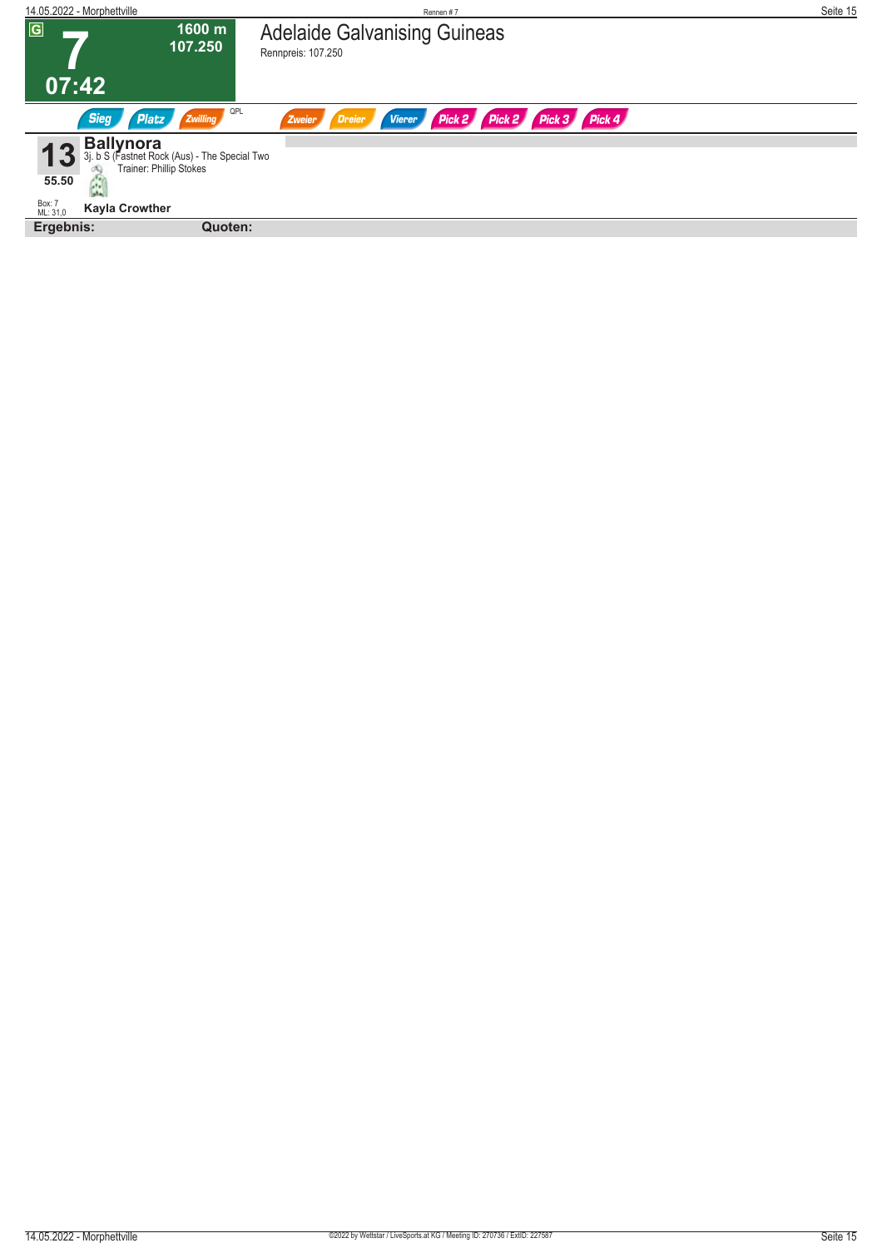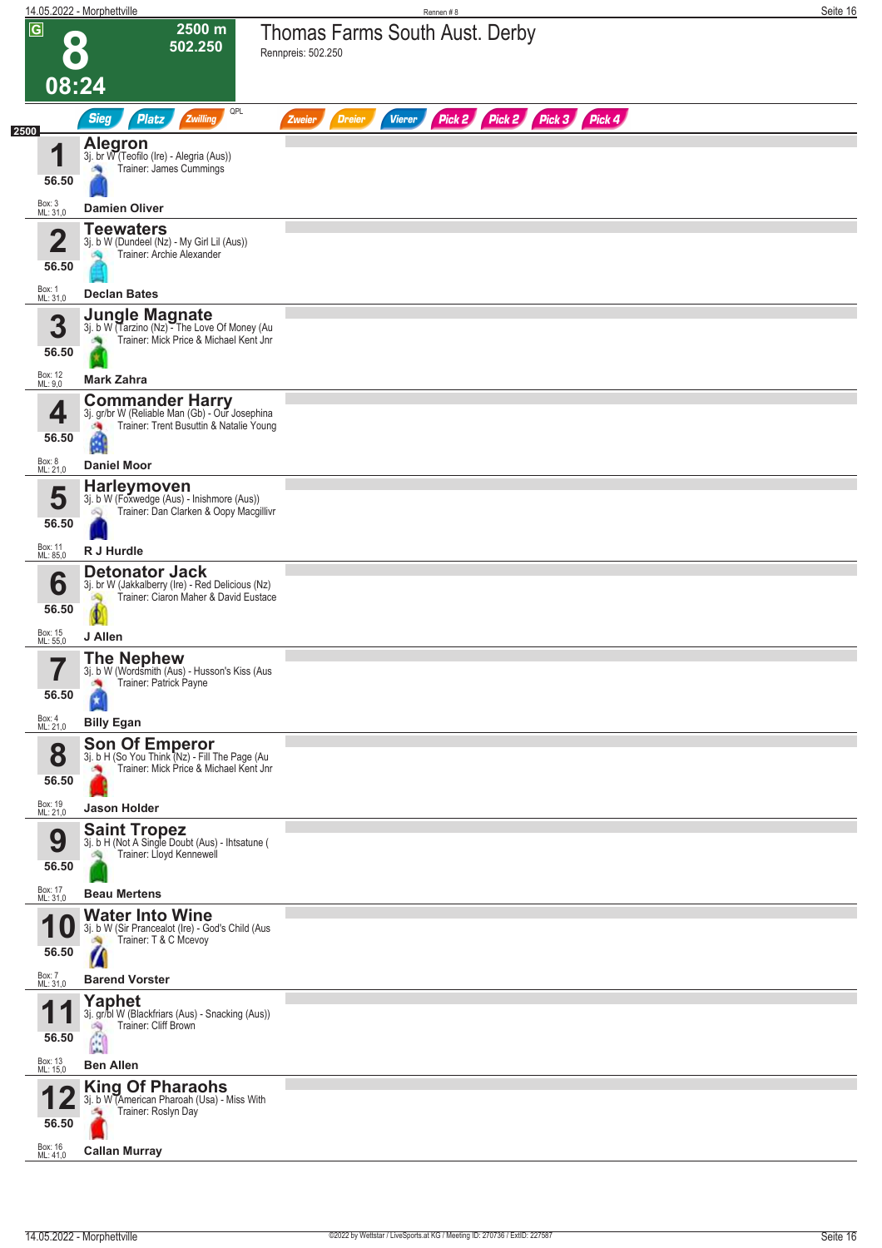|                         | 14.05.2022 - Morphettville                                                                                         | Rennen #8                                                               | Seite 16 |
|-------------------------|--------------------------------------------------------------------------------------------------------------------|-------------------------------------------------------------------------|----------|
| $\overline{\mathbf{G}}$ | 2500 m<br>502.250                                                                                                  | <b>Thomas Farms South Aust. Derby</b><br>Rennpreis: 502.250             |          |
|                         | 08:24                                                                                                              |                                                                         |          |
| 2500                    | QPL<br><b>Sieg</b><br>Platz<br>Zwilling                                                                            | Pick 2 Pick 2 Pick 3 Pick 4<br><b>Vierer</b><br><b>Dreier</b><br>Zweier |          |
| И<br>56.50              | <b>Alegron</b><br>3j. br W (Teofilo (Ire) - Alegria (Aus))<br>Trainer: James Cummings                              |                                                                         |          |
| Box: 3<br>ML: 31,0      | <b>Damien Oliver</b>                                                                                               |                                                                         |          |
| 2<br>56.50              | <b>Teewaters</b><br>3j. b W (Dundeel (Nz) - My Girl Lil (Aus))<br>Trainer: Archie Alexander                        |                                                                         |          |
| Box: 1<br>ML: 31,0      | <b>Declan Bates</b>                                                                                                |                                                                         |          |
| 3<br>56.50              | <b>Jungle Magnate</b><br>3j. b W (Tarzino (Nz) - The Love Of Money (Au<br>Trainer: Mick Price & Michael Kent Jnr   |                                                                         |          |
| Box: 12<br>ML: 9,0      | <b>Mark Zahra</b><br><b>Commander Harry</b>                                                                        |                                                                         |          |
| 4<br>56.50              | 3j. gr/br W (Reliable Man (Gb) - Our Josephina<br>Trainer: Trent Busuttin & Natalie Young<br>зą,<br>d.             |                                                                         |          |
| Box: 8<br>ML: 21,0      | <b>Daniel Moor</b>                                                                                                 |                                                                         |          |
| 5<br>56.50              | <b>Harleymoven</b><br>3j. b W (Foxwedge (Aus) - Inishmore (Aus))<br>Trainer: Dan Clarken & Oopy Macgillivr         |                                                                         |          |
| Box: 11<br>ML: 85,0     | R J Hurdle                                                                                                         |                                                                         |          |
| 6<br>56.50              | <b>Detonator Jack</b><br>3j. br W (Jakkalberry (Ire) - Red Delicious (Nz)<br>Trainer: Ciaron Maher & David Eustace |                                                                         |          |
| Box: 15<br>ML: 55,0     | J Allen                                                                                                            |                                                                         |          |
| 7<br>ı<br>56.50         | <b>The Nephew</b><br>3j. b W (Wordsmith (Aus) - Husson's Kiss (Aus<br>Trainer: Patrick Payne<br>×                  |                                                                         |          |
| Box: 4<br>ML: 21,0      | <b>Billy Egan</b>                                                                                                  |                                                                         |          |
| 8<br>56.50              | Son Of Emperor<br>3j. b H (So You Think (Nz) - Fill The Page (Au<br>Trainer: Mick Price & Michael Kent Jnr         |                                                                         |          |
| Box: 19<br>ML: 21,0     | <b>Jason Holder</b><br><b>Saint Tropez</b>                                                                         |                                                                         |          |
| 9<br>56.50              | 3j. b H (Not A Single Doubt (Aus) - Ihtsatune (<br>Trainer: Lloyd Kennewell                                        |                                                                         |          |
| Box: 17<br>ML: 31,0     | <b>Beau Mertens</b>                                                                                                |                                                                         |          |
| 56.50                   | <b>Water Into Wine</b><br>3j. b W (Sir Prancealot (Ire) - God's Child (Aus<br>Trainer: T & C Mcevoy                |                                                                         |          |
| Box: 7<br>ML: 31,0      | <b>Barend Vorster</b>                                                                                              |                                                                         |          |
| И<br>56.50              | <b>Yaphet</b><br>3j. gr/bl W (Blackfriars (Aus) - Snacking (Aus))<br>Trainer: Cliff Brown<br>A<br>لمقرا            |                                                                         |          |
| Box: 13<br>ML: 15,0     | <b>Ben Allen</b>                                                                                                   |                                                                         |          |
| 56.50                   | <b>King Of Pharaohs</b><br>3j. b W (American Pharoah (Usa) - Miss With<br>Trainer: Roslyn Day                      |                                                                         |          |
| Box: 16<br>ML: 41,0     | <b>Callan Murray</b>                                                                                               |                                                                         |          |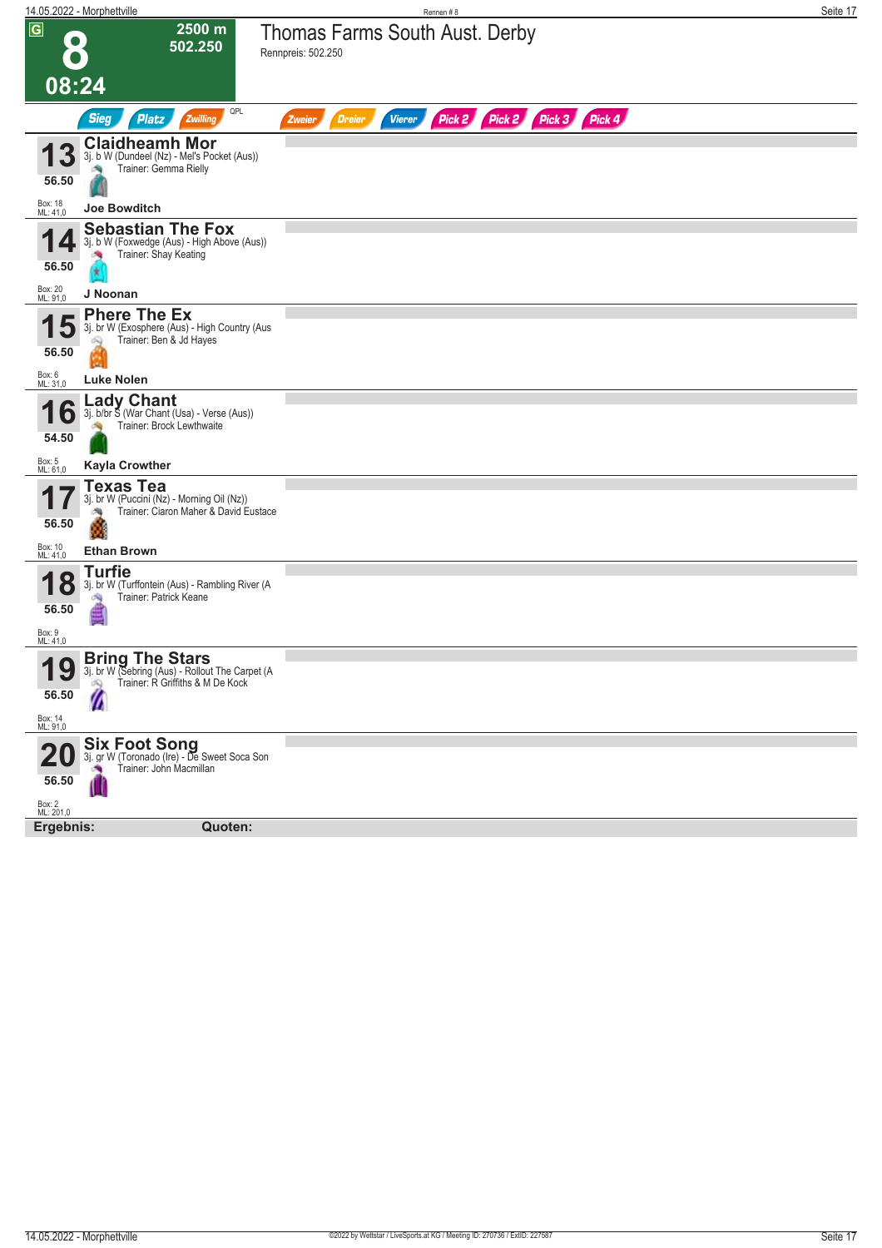| 14.05.2022 - Morphettville                                       |                                                                                                                               | Rennen #8                                                               | Seite 17 |
|------------------------------------------------------------------|-------------------------------------------------------------------------------------------------------------------------------|-------------------------------------------------------------------------|----------|
| $\overline{G}$                                                   | 2500 m<br>502.250                                                                                                             | <b>Thomas Farms South Aust. Derby</b><br>Rennpreis: 502.250             |          |
| 08:24                                                            |                                                                                                                               |                                                                         |          |
|                                                                  | QPL<br><b>Sieg</b><br><b>Platz</b><br>Zwilling                                                                                | Pick 2 Pick 2 Pick 3 Pick 4<br><b>Vierer</b><br><b>Dreier</b><br>Zweier |          |
| 3<br>56.50<br>Box: 18<br>ML: 41,0                                | <b>Claidheamh Mor</b><br>3j. b W (Dundeel (Nz) - Mel's Pocket (Aus))<br>Trainer: Gemma Rielly<br>Joe Bowditch                 |                                                                         |          |
| 56.50<br>Box: 20<br>ML: 91,0                                     | <b>Sebastian The Fox</b><br>3j. b W (Foxwedge (Aus) - High Above (Aus))<br>Trainer: Shay Keating<br>J Noonan                  |                                                                         |          |
| 56.50<br>Box: 6<br>ML: 31,0                                      | <b>Phere The Ex</b><br>3j. br W (Exosphere (Aus) - High Country (Aus<br>Trainer: Ben & Jd Hayes<br><b>Luke Nolen</b>          |                                                                         |          |
| lo<br>54.50<br>Box: 5<br>ML: 61,0                                | ∟ady Chant<br>3j. b/br S (War Chant (Usa) - Verse (Aus))<br>Trainer: Brock Lewthwaite<br><b>Kayla Crowther</b>                |                                                                         |          |
| 56.50<br>Box: 10<br>ML: 41,0                                     | <b>Texas Tea</b><br>3j. br W (Puccini (Nz) - Morning Oil (Nz))<br>Trainer: Ciaron Maher & David Eustace<br><b>Ethan Brown</b> |                                                                         |          |
| $\bullet$<br><b>18</b><br>56.50<br>Box: 9<br>ML: 41,0            | <b>Turfie</b><br>3j. br W (Turffontein (Aus) - Rambling River (A<br>Trainer: Patrick Keane                                    |                                                                         |          |
| $\mathbf Q$<br>1<br>$\mathbf{U}$<br>56.50<br>Box: 14<br>ML: 91,0 | <b>Bring The Stars</b><br>3j. br W (Sebring (Aus) - Rollout The Carpet (A<br>Trainer: R Griffiths & M De Kock<br>$\lambda$    |                                                                         |          |
| 56.50<br>Box: 2<br>ML: 201,0                                     | Six Foot Song<br>3j. gr W (Toronado (Ire) - De Sweet Soca Son<br>Trainer: John Macmillan                                      |                                                                         |          |
| Ergebnis:                                                        | Quoten:                                                                                                                       |                                                                         |          |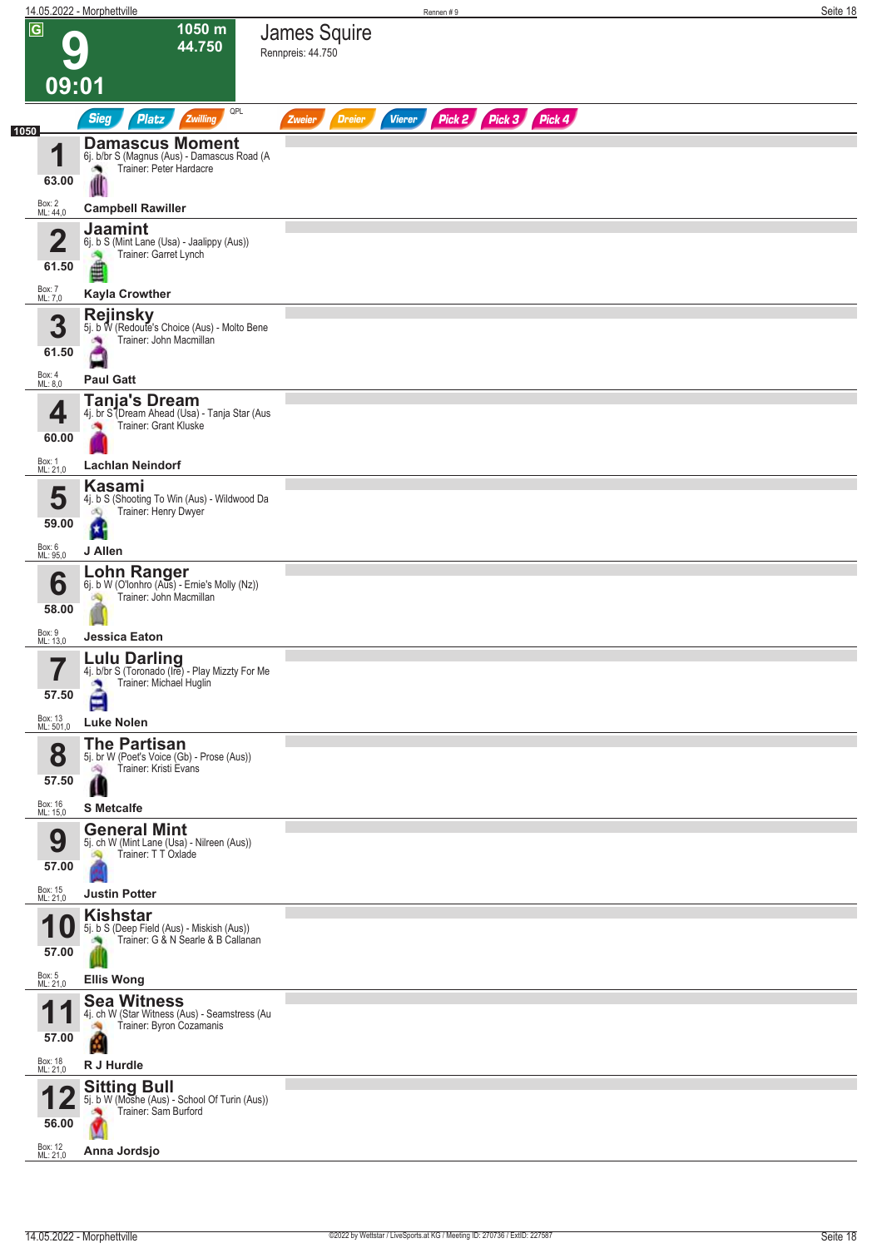|                         | 14.05.2022 - Morphettville                                                                      | Rennen#9                                                         | Seite 18 |
|-------------------------|-------------------------------------------------------------------------------------------------|------------------------------------------------------------------|----------|
| $\overline{G}$<br>09:01 | 1050 m<br>44.750                                                                                | James Squire<br>Rennpreis: 44.750                                |          |
|                         | QPL<br><b>Sieg</b><br><b>Platz</b><br>Zwilling                                                  | Pick 2 Pick 3 Pick 4<br><b>Dreier</b><br><b>Vierer</b><br>Zweier |          |
| 1050<br>и               | <b>Damascus Moment</b>                                                                          |                                                                  |          |
| 63.00                   | 6j. b/br S (Magnus (Aus) - Damascus Road (A<br>Trainer: Peter Hardacre                          |                                                                  |          |
| Box: 2<br>ML: 44,0      | <b>Campbell Rawiller</b>                                                                        |                                                                  |          |
|                         | <b>Jaamint</b>                                                                                  |                                                                  |          |
| $\overline{\mathbf{2}}$ | 6j. b S (Mint Lane (Usa) - Jaalippy (Aus))<br>Trainer: Garret Lynch                             |                                                                  |          |
| 61.50                   | 直                                                                                               |                                                                  |          |
| Box: 7<br>ML: 7,0       | <b>Kayla Crowther</b><br><b>Rejinsky</b>                                                        |                                                                  |          |
| 3                       | 5j. b W (Redoute's Choice (Aus) - Molto Bene<br>Trainer: John Macmillan                         |                                                                  |          |
| 61.50                   |                                                                                                 |                                                                  |          |
| Box: 4<br>ML: 8,0       | <b>Paul Gatt</b>                                                                                |                                                                  |          |
| 4                       | <b>Tanja's Dream</b><br>4j. br S (Dream Ahead (Usa) - Tanja Star (Aus<br>Trainer: Grant Kluske  |                                                                  |          |
| 60.00                   |                                                                                                 |                                                                  |          |
| Box: 1<br>ML: 21,0      | <b>Lachlan Neindorf</b>                                                                         |                                                                  |          |
| 5                       | Kasami<br>4j. b S (Shooting To Win (Aus) - Wildwood Da                                          |                                                                  |          |
| 59.00                   | Trainer: Henry Dwyer<br>đQ<br>а.                                                                |                                                                  |          |
| Box: 6<br>ML: 95,0      | J Allen                                                                                         |                                                                  |          |
| 6                       | <b>Lohn Ranger</b><br>6j. b W (O'lonhro (Aus) - Ernie's Molly (Nz))                             |                                                                  |          |
| 58.00                   | Trainer: John Macmillan                                                                         |                                                                  |          |
| Box: 9<br>ML: 13,0      | Jessica Eaton                                                                                   |                                                                  |          |
| 7<br>H<br>57.50         | Lulu Darling<br>4j. b/br S (Toronado (Ire) - Play Mizzty For Me<br>Trainer: Michael Huglin<br>× |                                                                  |          |
| Box: 13<br>ML: 501,0    | Ξ<br><b>Luke Nolen</b>                                                                          |                                                                  |          |
|                         | <b>The Partisan</b>                                                                             |                                                                  |          |
| 8<br>57.50              | 5j. br W (Poet's Voice (Gb) - Prose (Aus))<br>Trainer: Kristi Evans<br>鸿                        |                                                                  |          |
| Box: 16<br>ML: 15,0     | Ш<br><b>S</b> Metcalfe                                                                          |                                                                  |          |
|                         | <b>General Mint</b>                                                                             |                                                                  |          |
| 9                       | 5j. ch W (Mint Lane (Usa) - Nilreen (Aus))<br>Trainer: TT Oxlade                                |                                                                  |          |
| 57.00                   |                                                                                                 |                                                                  |          |
| Box: 15<br>ML: 21,0     | <b>Justin Potter</b><br><b>Kishstar</b>                                                         |                                                                  |          |
|                         | 5j. b S (Deep Field (Aus) - Miskish (Aus))<br>Trainer: G & N Searle & B Callanan                |                                                                  |          |
| 57.00                   |                                                                                                 |                                                                  |          |
| Box: 5<br>ML: 21,0      | <b>Ellis Wong</b><br><b>Sea Witness</b>                                                         |                                                                  |          |
| и                       | 4j. ch W (Star Witness (Aus) - Seamstress (Au<br>Trainer: Byron Cozamanis                       |                                                                  |          |
| 57.00                   | M                                                                                               |                                                                  |          |
| Box: 18<br>ML: 21,0     | R J Hurdle                                                                                      |                                                                  |          |
| 56.00                   | <b>Sitting Bull</b><br>5j. b W (Moshe (Aus) - School Of Turin (Aus))<br>Trainer: Sam Burford    |                                                                  |          |
| Box: 12<br>ML: 21,0     | Anna Jordsjo                                                                                    |                                                                  |          |
|                         |                                                                                                 |                                                                  |          |